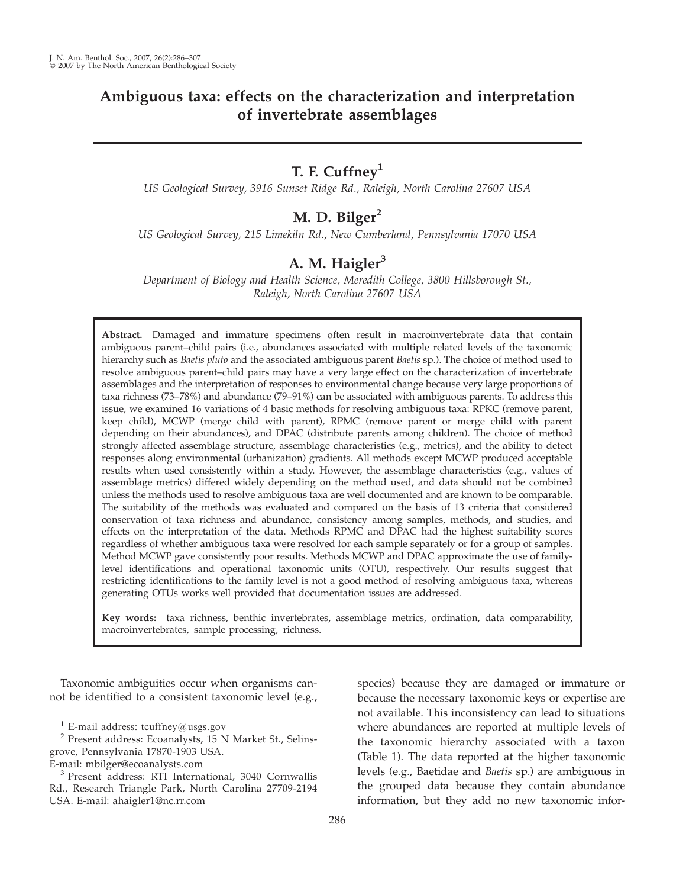# Ambiguous taxa: effects on the characterization and interpretation of invertebrate assemblages

# T. F. Cuffney<sup>1</sup>

US Geological Survey, 3916 Sunset Ridge Rd., Raleigh, North Carolina 27607 USA

# M. D. Bilger $<sup>2</sup>$ </sup>

US Geological Survey, 215 Limekiln Rd., New Cumberland, Pennsylvania 17070 USA

# A. M. Haigler<sup>3</sup>

Department of Biology and Health Science, Meredith College, 3800 Hillsborough St., Raleigh, North Carolina 27607 USA

Abstract. Damaged and immature specimens often result in macroinvertebrate data that contain ambiguous parent–child pairs (i.e., abundances associated with multiple related levels of the taxonomic hierarchy such as Baetis pluto and the associated ambiguous parent Baetis sp.). The choice of method used to resolve ambiguous parent–child pairs may have a very large effect on the characterization of invertebrate assemblages and the interpretation of responses to environmental change because very large proportions of taxa richness (73–78%) and abundance (79–91%) can be associated with ambiguous parents. To address this issue, we examined 16 variations of 4 basic methods for resolving ambiguous taxa: RPKC (remove parent, keep child), MCWP (merge child with parent), RPMC (remove parent or merge child with parent depending on their abundances), and DPAC (distribute parents among children). The choice of method strongly affected assemblage structure, assemblage characteristics (e.g., metrics), and the ability to detect responses along environmental (urbanization) gradients. All methods except MCWP produced acceptable results when used consistently within a study. However, the assemblage characteristics (e.g., values of assemblage metrics) differed widely depending on the method used, and data should not be combined unless the methods used to resolve ambiguous taxa are well documented and are known to be comparable. The suitability of the methods was evaluated and compared on the basis of 13 criteria that considered conservation of taxa richness and abundance, consistency among samples, methods, and studies, and effects on the interpretation of the data. Methods RPMC and DPAC had the highest suitability scores regardless of whether ambiguous taxa were resolved for each sample separately or for a group of samples. Method MCWP gave consistently poor results. Methods MCWP and DPAC approximate the use of familylevel identifications and operational taxonomic units (OTU), respectively. Our results suggest that restricting identifications to the family level is not a good method of resolving ambiguous taxa, whereas generating OTUs works well provided that documentation issues are addressed.

Key words: taxa richness, benthic invertebrates, assemblage metrics, ordination, data comparability, macroinvertebrates, sample processing, richness.

Taxonomic ambiguities occur when organisms cannot be identified to a consistent taxonomic level (e.g.,

 $1$  E-mail address: tcuffney@usgs.gov

<sup>2</sup> Present address: Ecoanalysts, 15 N Market St., Selinsgrove, Pennsylvania 17870-1903 USA.

 $3$  Present address: RTI International, 3040 Cornwallis Rd., Research Triangle Park, North Carolina 27709-2194 USA. E-mail: ahaigler1@nc.rr.com

species) because they are damaged or immature or because the necessary taxonomic keys or expertise are not available. This inconsistency can lead to situations where abundances are reported at multiple levels of the taxonomic hierarchy associated with a taxon (Table 1). The data reported at the higher taxonomic levels (e.g., Baetidae and Baetis sp.) are ambiguous in the grouped data because they contain abundance information, but they add no new taxonomic infor-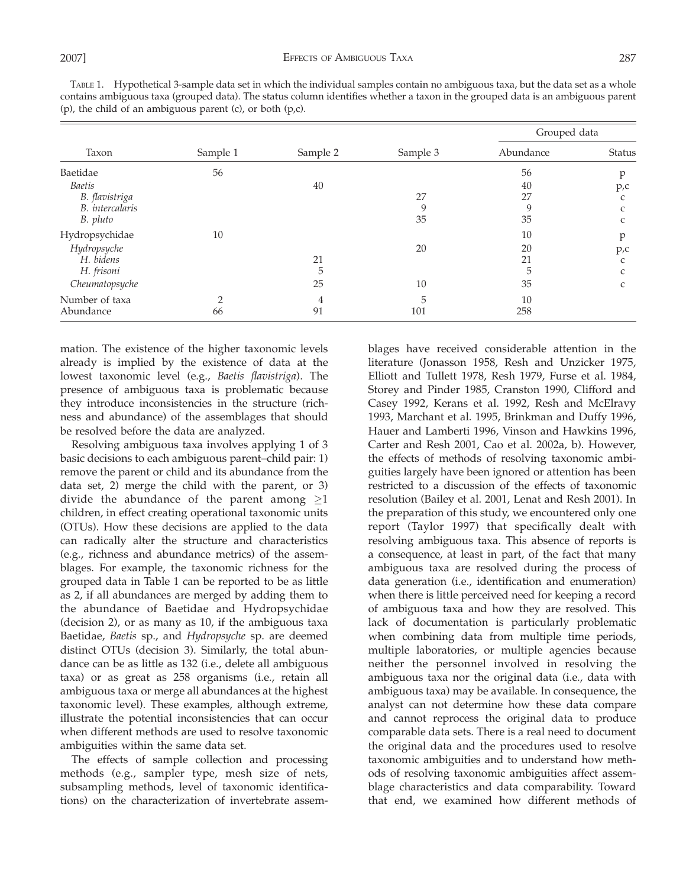TABLE 1. Hypothetical 3-sample data set in which the individual samples contain no ambiguous taxa, but the data set as a whole contains ambiguous taxa (grouped data). The status column identifies whether a taxon in the grouped data is an ambiguous parent  $(p)$ , the child of an ambiguous parent  $(c)$ , or both  $(p, c)$ .

|                                                                            |          |               |               | Grouped data              |               |
|----------------------------------------------------------------------------|----------|---------------|---------------|---------------------------|---------------|
| Taxon                                                                      | Sample 1 | Sample 2      | Sample 3      | Abundance                 | Status        |
| Baetidae                                                                   | 56       |               |               | 56                        | p             |
| <b>Baetis</b><br>B. flavistriga<br>B. intercalaris<br>B. pluto             |          | 40            | 27<br>9<br>35 | 40<br>27<br>9<br>35       | p,c<br>C<br>C |
| Hydropsychidae<br>Hydropsyche<br>H. bidens<br>H. frisoni<br>Cheumatopsyche | 10       | 21<br>5<br>25 | 20<br>10      | 10<br>20<br>21<br>5<br>35 | n<br>p,c<br>C |
| Number of taxa<br>Abundance                                                | ∍<br>66  | 4<br>91       | 5<br>101      | 10<br>258                 |               |

mation. The existence of the higher taxonomic levels already is implied by the existence of data at the lowest taxonomic level (e.g., Baetis flavistriga). The presence of ambiguous taxa is problematic because they introduce inconsistencies in the structure (richness and abundance) of the assemblages that should be resolved before the data are analyzed.

Resolving ambiguous taxa involves applying 1 of 3 basic decisions to each ambiguous parent–child pair: 1) remove the parent or child and its abundance from the data set, 2) merge the child with the parent, or 3) divide the abundance of the parent among  $\geq 1$ children, in effect creating operational taxonomic units (OTUs). How these decisions are applied to the data can radically alter the structure and characteristics (e.g., richness and abundance metrics) of the assemblages. For example, the taxonomic richness for the grouped data in Table 1 can be reported to be as little as 2, if all abundances are merged by adding them to the abundance of Baetidae and Hydropsychidae (decision 2), or as many as 10, if the ambiguous taxa Baetidae, Baetis sp., and Hydropsyche sp. are deemed distinct OTUs (decision 3). Similarly, the total abundance can be as little as 132 (i.e., delete all ambiguous taxa) or as great as 258 organisms (i.e., retain all ambiguous taxa or merge all abundances at the highest taxonomic level). These examples, although extreme, illustrate the potential inconsistencies that can occur when different methods are used to resolve taxonomic ambiguities within the same data set.

The effects of sample collection and processing methods (e.g., sampler type, mesh size of nets, subsampling methods, level of taxonomic identifications) on the characterization of invertebrate assemblages have received considerable attention in the literature (Jonasson 1958, Resh and Unzicker 1975, Elliott and Tullett 1978, Resh 1979, Furse et al. 1984, Storey and Pinder 1985, Cranston 1990, Clifford and Casey 1992, Kerans et al. 1992, Resh and McElravy 1993, Marchant et al. 1995, Brinkman and Duffy 1996, Hauer and Lamberti 1996, Vinson and Hawkins 1996, Carter and Resh 2001, Cao et al. 2002a, b). However, the effects of methods of resolving taxonomic ambiguities largely have been ignored or attention has been restricted to a discussion of the effects of taxonomic resolution (Bailey et al. 2001, Lenat and Resh 2001). In the preparation of this study, we encountered only one report (Taylor 1997) that specifically dealt with resolving ambiguous taxa. This absence of reports is a consequence, at least in part, of the fact that many ambiguous taxa are resolved during the process of data generation (i.e., identification and enumeration) when there is little perceived need for keeping a record of ambiguous taxa and how they are resolved. This lack of documentation is particularly problematic when combining data from multiple time periods, multiple laboratories, or multiple agencies because neither the personnel involved in resolving the ambiguous taxa nor the original data (i.e., data with ambiguous taxa) may be available. In consequence, the analyst can not determine how these data compare and cannot reprocess the original data to produce comparable data sets. There is a real need to document the original data and the procedures used to resolve taxonomic ambiguities and to understand how methods of resolving taxonomic ambiguities affect assemblage characteristics and data comparability. Toward that end, we examined how different methods of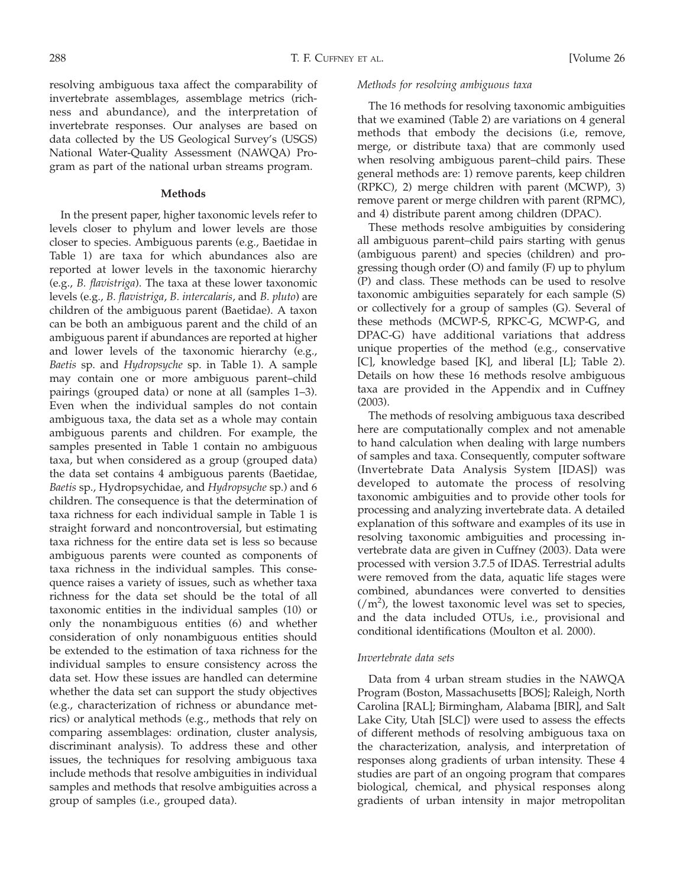resolving ambiguous taxa affect the comparability of invertebrate assemblages, assemblage metrics (richness and abundance), and the interpretation of invertebrate responses. Our analyses are based on data collected by the US Geological Survey's (USGS) National Water-Quality Assessment (NAWQA) Program as part of the national urban streams program.

## Methods

In the present paper, higher taxonomic levels refer to levels closer to phylum and lower levels are those closer to species. Ambiguous parents (e.g., Baetidae in Table 1) are taxa for which abundances also are reported at lower levels in the taxonomic hierarchy (e.g., B. flavistriga). The taxa at these lower taxonomic levels (e.g., B. flavistriga, B. intercalaris, and B. pluto) are children of the ambiguous parent (Baetidae). A taxon can be both an ambiguous parent and the child of an ambiguous parent if abundances are reported at higher and lower levels of the taxonomic hierarchy (e.g., Baetis sp. and Hydropsyche sp. in Table 1). A sample may contain one or more ambiguous parent–child pairings (grouped data) or none at all (samples 1–3). Even when the individual samples do not contain ambiguous taxa, the data set as a whole may contain ambiguous parents and children. For example, the samples presented in Table 1 contain no ambiguous taxa, but when considered as a group (grouped data) the data set contains 4 ambiguous parents (Baetidae, Baetis sp., Hydropsychidae, and Hydropsyche sp.) and 6 children. The consequence is that the determination of taxa richness for each individual sample in Table 1 is straight forward and noncontroversial, but estimating taxa richness for the entire data set is less so because ambiguous parents were counted as components of taxa richness in the individual samples. This consequence raises a variety of issues, such as whether taxa richness for the data set should be the total of all taxonomic entities in the individual samples (10) or only the nonambiguous entities (6) and whether consideration of only nonambiguous entities should be extended to the estimation of taxa richness for the individual samples to ensure consistency across the data set. How these issues are handled can determine whether the data set can support the study objectives (e.g., characterization of richness or abundance metrics) or analytical methods (e.g., methods that rely on comparing assemblages: ordination, cluster analysis, discriminant analysis). To address these and other issues, the techniques for resolving ambiguous taxa include methods that resolve ambiguities in individual samples and methods that resolve ambiguities across a group of samples (i.e., grouped data).

# Methods for resolving ambiguous taxa

The 16 methods for resolving taxonomic ambiguities that we examined (Table 2) are variations on 4 general methods that embody the decisions (i.e, remove, merge, or distribute taxa) that are commonly used when resolving ambiguous parent–child pairs. These general methods are: 1) remove parents, keep children (RPKC), 2) merge children with parent (MCWP), 3) remove parent or merge children with parent (RPMC), and 4) distribute parent among children (DPAC).

These methods resolve ambiguities by considering all ambiguous parent–child pairs starting with genus (ambiguous parent) and species (children) and progressing though order (O) and family (F) up to phylum (P) and class. These methods can be used to resolve taxonomic ambiguities separately for each sample (S) or collectively for a group of samples (G). Several of these methods (MCWP-S, RPKC-G, MCWP-G, and DPAC-G) have additional variations that address unique properties of the method (e.g., conservative [C], knowledge based [K], and liberal [L]; Table 2). Details on how these 16 methods resolve ambiguous taxa are provided in the Appendix and in Cuffney (2003).

The methods of resolving ambiguous taxa described here are computationally complex and not amenable to hand calculation when dealing with large numbers of samples and taxa. Consequently, computer software (Invertebrate Data Analysis System [IDAS]) was developed to automate the process of resolving taxonomic ambiguities and to provide other tools for processing and analyzing invertebrate data. A detailed explanation of this software and examples of its use in resolving taxonomic ambiguities and processing invertebrate data are given in Cuffney (2003). Data were processed with version 3.7.5 of IDAS. Terrestrial adults were removed from the data, aquatic life stages were combined, abundances were converted to densities  $\frac{m^2}{m^2}$ , the lowest taxonomic level was set to species, and the data included OTUs, i.e., provisional and conditional identifications (Moulton et al. 2000).

#### Invertebrate data sets

Data from 4 urban stream studies in the NAWQA Program (Boston, Massachusetts [BOS]; Raleigh, North Carolina [RAL]; Birmingham, Alabama [BIR], and Salt Lake City, Utah [SLC]) were used to assess the effects of different methods of resolving ambiguous taxa on the characterization, analysis, and interpretation of responses along gradients of urban intensity. These 4 studies are part of an ongoing program that compares biological, chemical, and physical responses along gradients of urban intensity in major metropolitan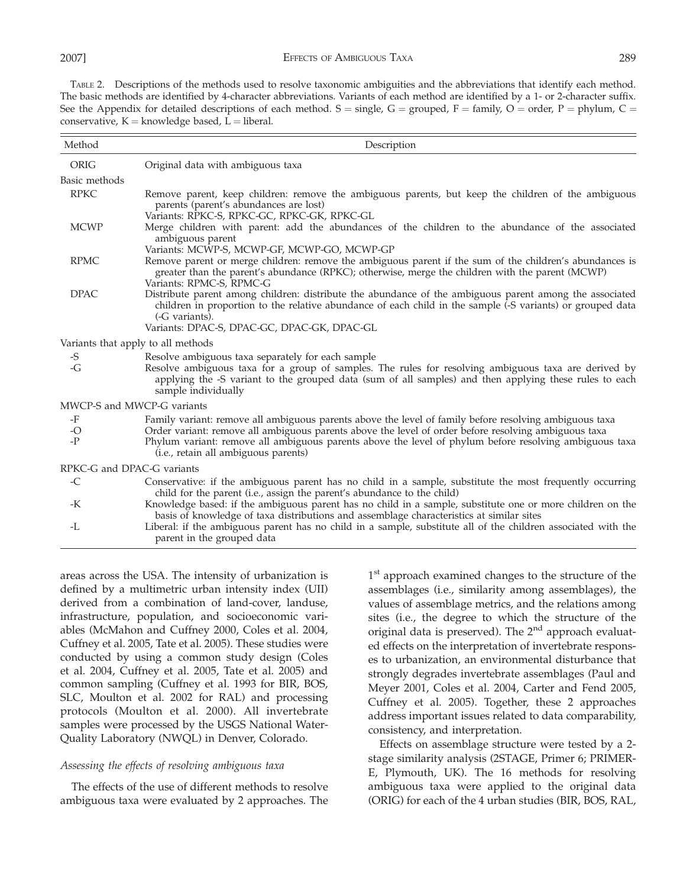TABLE 2. Descriptions of the methods used to resolve taxonomic ambiguities and the abbreviations that identify each method. The basic methods are identified by 4-character abbreviations. Variants of each method are identified by a 1- or 2-character suffix. See the Appendix for detailed descriptions of each method.  $S = \text{single}$ ,  $G = \text{grouped}$ ,  $F = \text{family}$ ,  $O = \text{order}$ ,  $P = \text{phylum}$ ,  $C =$ conservative,  $K =$  knowledge based,  $L =$  liberal.

| Method        | Description                                                                                                                                                                                                                                                                                                        |
|---------------|--------------------------------------------------------------------------------------------------------------------------------------------------------------------------------------------------------------------------------------------------------------------------------------------------------------------|
| <b>ORIG</b>   | Original data with ambiguous taxa                                                                                                                                                                                                                                                                                  |
| Basic methods |                                                                                                                                                                                                                                                                                                                    |
| <b>RPKC</b>   | Remove parent, keep children: remove the ambiguous parents, but keep the children of the ambiguous<br>parents (parent's abundances are lost)                                                                                                                                                                       |
| <b>MCWP</b>   | Variants: RPKC-S, RPKC-GC, RPKC-GK, RPKC-GL<br>Merge children with parent: add the abundances of the children to the abundance of the associated<br>ambiguous parent                                                                                                                                               |
| <b>RPMC</b>   | Variants: MCWP-S, MCWP-GF, MCWP-GO, MCWP-GP<br>Remove parent or merge children: remove the ambiguous parent if the sum of the children's abundances is<br>greater than the parent's abundance (RPKC); otherwise, merge the children with the parent (MCWP)                                                         |
| <b>DPAC</b>   | Variants: RPMC-S, RPMC-G<br>Distribute parent among children: distribute the abundance of the ambiguous parent among the associated<br>children in proportion to the relative abundance of each child in the sample (-S variants) or grouped data<br>(-G variants).<br>Variants: DPAC-S, DPAC-GC, DPAC-GK, DPAC-GL |
|               | Variants that apply to all methods                                                                                                                                                                                                                                                                                 |
| -S            | Resolve ambiguous taxa separately for each sample                                                                                                                                                                                                                                                                  |
| $-G$          | Resolve ambiguous taxa for a group of samples. The rules for resolving ambiguous taxa are derived by<br>applying the -S variant to the grouped data (sum of all samples) and then applying these rules to each<br>sample individually                                                                              |
|               | MWCP-S and MWCP-G variants                                                                                                                                                                                                                                                                                         |
| -F            | Family variant: remove all ambiguous parents above the level of family before resolving ambiguous taxa                                                                                                                                                                                                             |
| $-O$          | Order variant: remove all ambiguous parents above the level of order before resolving ambiguous taxa                                                                                                                                                                                                               |
| $-P$          | Phylum variant: remove all ambiguous parents above the level of phylum before resolving ambiguous taxa<br>(i.e., retain all ambiguous parents)                                                                                                                                                                     |
|               | RPKC-G and DPAC-G variants                                                                                                                                                                                                                                                                                         |
| $-C$          | Conservative: if the ambiguous parent has no child in a sample, substitute the most frequently occurring<br>child for the parent (i.e., assign the parent's abundance to the child)                                                                                                                                |
| -K            | Knowledge based: if the ambiguous parent has no child in a sample, substitute one or more children on the<br>basis of knowledge of taxa distributions and assemblage characteristics at similar sites                                                                                                              |
| -L            | Liberal: if the ambiguous parent has no child in a sample, substitute all of the children associated with the<br>parent in the grouped data                                                                                                                                                                        |

areas across the USA. The intensity of urbanization is defined by a multimetric urban intensity index (UII) derived from a combination of land-cover, landuse, infrastructure, population, and socioeconomic variables (McMahon and Cuffney 2000, Coles et al. 2004, Cuffney et al. 2005, Tate et al. 2005). These studies were conducted by using a common study design (Coles et al. 2004, Cuffney et al. 2005, Tate et al. 2005) and common sampling (Cuffney et al. 1993 for BIR, BOS, SLC, Moulton et al. 2002 for RAL) and processing protocols (Moulton et al. 2000). All invertebrate samples were processed by the USGS National Water-Quality Laboratory (NWQL) in Denver, Colorado.

#### Assessing the effects of resolving ambiguous taxa

The effects of the use of different methods to resolve ambiguous taxa were evaluated by 2 approaches. The 1<sup>st</sup> approach examined changes to the structure of the assemblages (i.e., similarity among assemblages), the values of assemblage metrics, and the relations among sites (i.e., the degree to which the structure of the original data is preserved). The 2<sup>nd</sup> approach evaluated effects on the interpretation of invertebrate responses to urbanization, an environmental disturbance that strongly degrades invertebrate assemblages (Paul and Meyer 2001, Coles et al. 2004, Carter and Fend 2005, Cuffney et al. 2005). Together, these 2 approaches address important issues related to data comparability, consistency, and interpretation.

Effects on assemblage structure were tested by a 2 stage similarity analysis (2STAGE, Primer 6; PRIMER-E, Plymouth, UK). The 16 methods for resolving ambiguous taxa were applied to the original data (ORIG) for each of the 4 urban studies (BIR, BOS, RAL,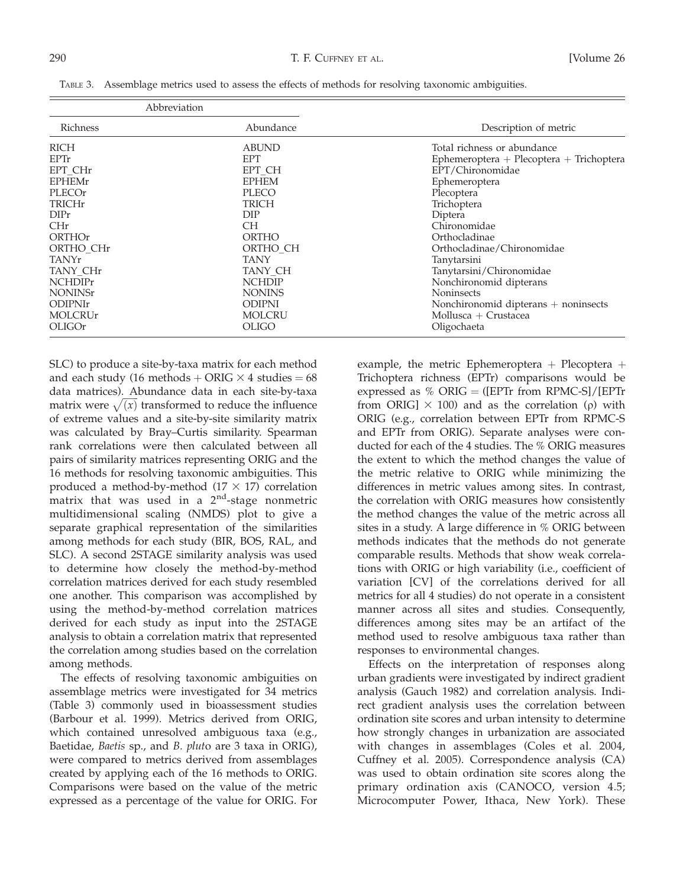TABLE 3. Assemblage metrics used to assess the effects of methods for resolving taxonomic ambiguities.

|                 | Abbreviation  |                                          |
|-----------------|---------------|------------------------------------------|
| <b>Richness</b> | Abundance     | Description of metric                    |
| <b>RICH</b>     | <b>ABUND</b>  | Total richness or abundance              |
| EPTr            | <b>EPT</b>    | Ephemeroptera + Plecoptera + Trichoptera |
| EPT_CHr         | EPT CH        | EPT/Chironomidae                         |
| EPHEMr          | <b>EPHEM</b>  | Ephemeroptera                            |
| PLECOr          | <b>PLECO</b>  | Plecoptera                               |
| TRICHr          | <b>TRICH</b>  | Trichoptera                              |
| DIPr            | DIP           | Diptera                                  |
| CHr             | CH.           | Chironomidae                             |
| <b>ORTHOr</b>   | <b>ORTHO</b>  | Orthocladinae                            |
| ORTHO_CHr       | ORTHO CH      | Orthocladinae/Chironomidae               |
| TANYr           | <b>TANY</b>   | Tanytarsini                              |
| TANY CHr        | TANY CH       | Tanytarsini/Chironomidae                 |
| <b>NCHDIPr</b>  | <b>NCHDIP</b> | Nonchironomid dipterans                  |
| <b>NONINSr</b>  | <b>NONINS</b> | <b>Noninsects</b>                        |
| <b>ODIPNIr</b>  | <b>ODIPNI</b> | Nonchironomid dipterans $+$ noninsects   |
| <b>MOLCRUr</b>  | <b>MOLCRU</b> | Mollusca $+$ Crustacea                   |
| OLIGOr          | <b>OLIGO</b>  | Oligochaeta                              |

SLC) to produce a site-by-taxa matrix for each method and each study (16 methods  $+$  ORIG  $\times$  4 studies  $=$  68 data matrices). Abundance data in each site-by-taxa  $\frac{\partial}{\partial x}$  matrices,  $\frac{\partial}{\partial x}$  transformed to reduce the influence of extreme values and a site-by-site similarity matrix was calculated by Bray–Curtis similarity. Spearman rank correlations were then calculated between all pairs of similarity matrices representing ORIG and the 16 methods for resolving taxonomic ambiguities. This produced a method-by-method  $(17 \times 17)$  correlation matrix that was used in a  $2<sup>nd</sup>$ -stage nonmetric multidimensional scaling (NMDS) plot to give a separate graphical representation of the similarities among methods for each study (BIR, BOS, RAL, and SLC). A second 2STAGE similarity analysis was used to determine how closely the method-by-method correlation matrices derived for each study resembled one another. This comparison was accomplished by using the method-by-method correlation matrices derived for each study as input into the 2STAGE analysis to obtain a correlation matrix that represented the correlation among studies based on the correlation among methods.

The effects of resolving taxonomic ambiguities on assemblage metrics were investigated for 34 metrics (Table 3) commonly used in bioassessment studies (Barbour et al. 1999). Metrics derived from ORIG, which contained unresolved ambiguous taxa (e.g., Baetidae, Baetis sp., and B. pluto are 3 taxa in ORIG), were compared to metrics derived from assemblages created by applying each of the 16 methods to ORIG. Comparisons were based on the value of the metric expressed as a percentage of the value for ORIG. For example, the metric Ephemeroptera + Plecoptera + Trichoptera richness (EPTr) comparisons would be expressed as % ORIG =  $([EPTr from RPMC-S]/[EPTr$ from ORIG]  $\times$  100) and as the correlation ( $\rho$ ) with ORIG (e.g., correlation between EPTr from RPMC-S and EPTr from ORIG). Separate analyses were conducted for each of the 4 studies. The % ORIG measures the extent to which the method changes the value of the metric relative to ORIG while minimizing the differences in metric values among sites. In contrast, the correlation with ORIG measures how consistently the method changes the value of the metric across all sites in a study. A large difference in % ORIG between methods indicates that the methods do not generate comparable results. Methods that show weak correlations with ORIG or high variability (i.e., coefficient of variation [CV] of the correlations derived for all metrics for all 4 studies) do not operate in a consistent manner across all sites and studies. Consequently, differences among sites may be an artifact of the method used to resolve ambiguous taxa rather than responses to environmental changes.

Effects on the interpretation of responses along urban gradients were investigated by indirect gradient analysis (Gauch 1982) and correlation analysis. Indirect gradient analysis uses the correlation between ordination site scores and urban intensity to determine how strongly changes in urbanization are associated with changes in assemblages (Coles et al. 2004, Cuffney et al. 2005). Correspondence analysis (CA) was used to obtain ordination site scores along the primary ordination axis (CANOCO, version 4.5; Microcomputer Power, Ithaca, New York). These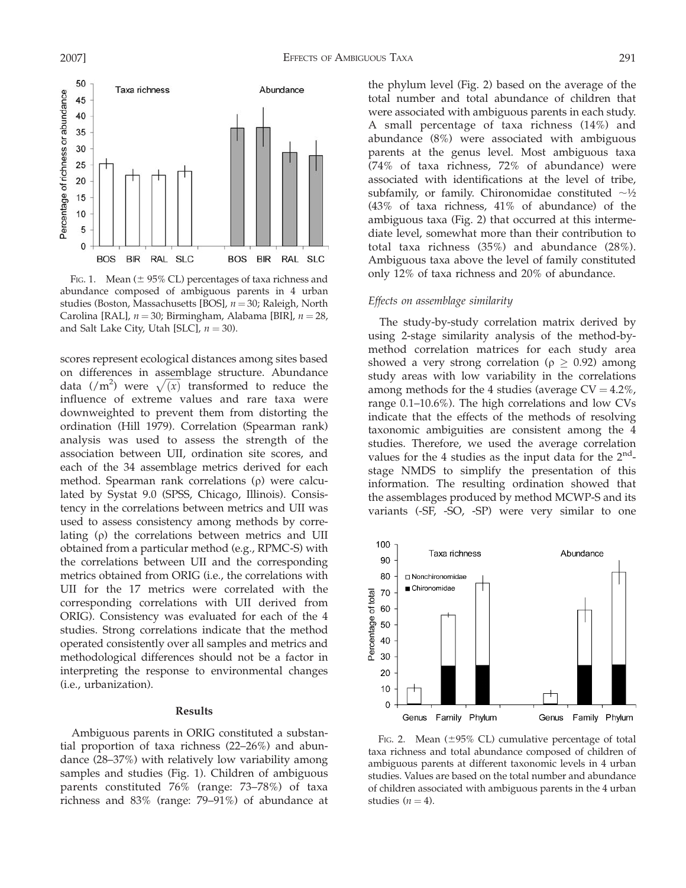

FIG. 1. Mean ( $\pm$  95% CL) percentages of taxa richness and abundance composed of ambiguous parents in 4 urban studies (Boston, Massachusetts [BOS],  $n = 30$ ; Raleigh, North Carolina [RAL],  $n = 30$ ; Birmingham, Alabama [BIR],  $n = 28$ , and Salt Lake City, Utah [SLC],  $n = 30$ ).

scores represent ecological distances among sites based on differences in assemblage structure. Abundance data  $(m^2)$  were  $\sqrt{x}$  transformed to reduce the influence of extreme values and rare taxa were downweighted to prevent them from distorting the ordination (Hill 1979). Correlation (Spearman rank) analysis was used to assess the strength of the association between UII, ordination site scores, and each of the 34 assemblage metrics derived for each method. Spearman rank correlations (p) were calculated by Systat 9.0 (SPSS, Chicago, Illinois). Consistency in the correlations between metrics and UII was used to assess consistency among methods by correlating (q) the correlations between metrics and UII obtained from a particular method (e.g., RPMC-S) with the correlations between UII and the corresponding metrics obtained from ORIG (i.e., the correlations with UII for the 17 metrics were correlated with the corresponding correlations with UII derived from ORIG). Consistency was evaluated for each of the 4 studies. Strong correlations indicate that the method operated consistently over all samples and metrics and methodological differences should not be a factor in interpreting the response to environmental changes (i.e., urbanization).

#### Results

Ambiguous parents in ORIG constituted a substantial proportion of taxa richness (22–26%) and abundance (28–37%) with relatively low variability among samples and studies (Fig. 1). Children of ambiguous parents constituted 76% (range: 73–78%) of taxa richness and 83% (range: 79–91%) of abundance at the phylum level (Fig. 2) based on the average of the total number and total abundance of children that were associated with ambiguous parents in each study. A small percentage of taxa richness (14%) and abundance (8%) were associated with ambiguous parents at the genus level. Most ambiguous taxa (74% of taxa richness, 72% of abundance) were associated with identifications at the level of tribe, subfamily, or family. Chironomidae constituted  $\sim$ 1/2 (43% of taxa richness, 41% of abundance) of the ambiguous taxa (Fig. 2) that occurred at this intermediate level, somewhat more than their contribution to total taxa richness (35%) and abundance (28%). Ambiguous taxa above the level of family constituted only 12% of taxa richness and 20% of abundance.

#### Effects on assemblage similarity

The study-by-study correlation matrix derived by using 2-stage similarity analysis of the method-bymethod correlation matrices for each study area showed a very strong correlation ( $\rho \geq 0.92$ ) among study areas with low variability in the correlations among methods for the 4 studies (average  $CV = 4.2\%$ , range 0.1–10.6%). The high correlations and low CVs indicate that the effects of the methods of resolving taxonomic ambiguities are consistent among the 4 studies. Therefore, we used the average correlation values for the 4 studies as the input data for the  $2<sup>nd</sup>$ stage NMDS to simplify the presentation of this information. The resulting ordination showed that the assemblages produced by method MCWP-S and its variants (-SF, -SO, -SP) were very similar to one



FIG. 2. Mean  $(\pm 95\% \text{ CL})$  cumulative percentage of total taxa richness and total abundance composed of children of ambiguous parents at different taxonomic levels in 4 urban studies. Values are based on the total number and abundance of children associated with ambiguous parents in the 4 urban studies  $(n = 4)$ .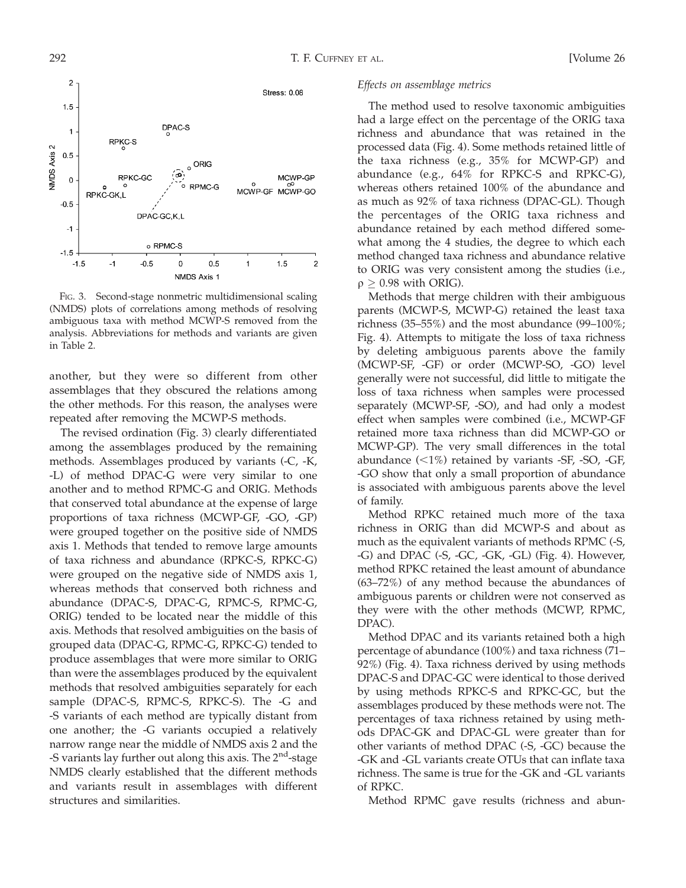

FIG. 3. Second-stage nonmetric multidimensional scaling (NMDS) plots of correlations among methods of resolving ambiguous taxa with method MCWP-S removed from the analysis. Abbreviations for methods and variants are given in Table 2.

another, but they were so different from other assemblages that they obscured the relations among the other methods. For this reason, the analyses were repeated after removing the MCWP-S methods.

The revised ordination (Fig. 3) clearly differentiated among the assemblages produced by the remaining methods. Assemblages produced by variants (-C, -K, -L) of method DPAC-G were very similar to one another and to method RPMC-G and ORIG. Methods that conserved total abundance at the expense of large proportions of taxa richness (MCWP-GF, -GO, -GP) were grouped together on the positive side of NMDS axis 1. Methods that tended to remove large amounts of taxa richness and abundance (RPKC-S, RPKC-G) were grouped on the negative side of NMDS axis 1, whereas methods that conserved both richness and abundance (DPAC-S, DPAC-G, RPMC-S, RPMC-G, ORIG) tended to be located near the middle of this axis. Methods that resolved ambiguities on the basis of grouped data (DPAC-G, RPMC-G, RPKC-G) tended to produce assemblages that were more similar to ORIG than were the assemblages produced by the equivalent methods that resolved ambiguities separately for each sample (DPAC-S, RPMC-S, RPKC-S). The -G and -S variants of each method are typically distant from one another; the -G variants occupied a relatively narrow range near the middle of NMDS axis 2 and the -S variants lay further out along this axis. The 2<sup>nd</sup>-stage NMDS clearly established that the different methods and variants result in assemblages with different structures and similarities.

#### Effects on assemblage metrics

The method used to resolve taxonomic ambiguities had a large effect on the percentage of the ORIG taxa richness and abundance that was retained in the processed data (Fig. 4). Some methods retained little of the taxa richness (e.g., 35% for MCWP-GP) and abundance (e.g., 64% for RPKC-S and RPKC-G), whereas others retained 100% of the abundance and as much as 92% of taxa richness (DPAC-GL). Though the percentages of the ORIG taxa richness and abundance retained by each method differed somewhat among the 4 studies, the degree to which each method changed taxa richness and abundance relative to ORIG was very consistent among the studies (i.e.,  $\rho \geq 0.98$  with ORIG).

Methods that merge children with their ambiguous parents (MCWP-S, MCWP-G) retained the least taxa richness (35–55%) and the most abundance (99–100%; Fig. 4). Attempts to mitigate the loss of taxa richness by deleting ambiguous parents above the family (MCWP-SF, -GF) or order (MCWP-SO, -GO) level generally were not successful, did little to mitigate the loss of taxa richness when samples were processed separately (MCWP-SF, -SO), and had only a modest effect when samples were combined (i.e., MCWP-GF retained more taxa richness than did MCWP-GO or MCWP-GP). The very small differences in the total abundance  $\langle$  <1%) retained by variants -SF, -SO, -GF, -GO show that only a small proportion of abundance is associated with ambiguous parents above the level of family.

Method RPKC retained much more of the taxa richness in ORIG than did MCWP-S and about as much as the equivalent variants of methods RPMC (-S, -G) and DPAC (-S, -GC, -GK, -GL) (Fig. 4). However, method RPKC retained the least amount of abundance (63–72%) of any method because the abundances of ambiguous parents or children were not conserved as they were with the other methods (MCWP, RPMC, DPAC).

Method DPAC and its variants retained both a high percentage of abundance (100%) and taxa richness (71– 92%) (Fig. 4). Taxa richness derived by using methods DPAC-S and DPAC-GC were identical to those derived by using methods RPKC-S and RPKC-GC, but the assemblages produced by these methods were not. The percentages of taxa richness retained by using methods DPAC-GK and DPAC-GL were greater than for other variants of method DPAC (-S, -GC) because the -GK and -GL variants create OTUs that can inflate taxa richness. The same is true for the -GK and -GL variants of RPKC.

Method RPMC gave results (richness and abun-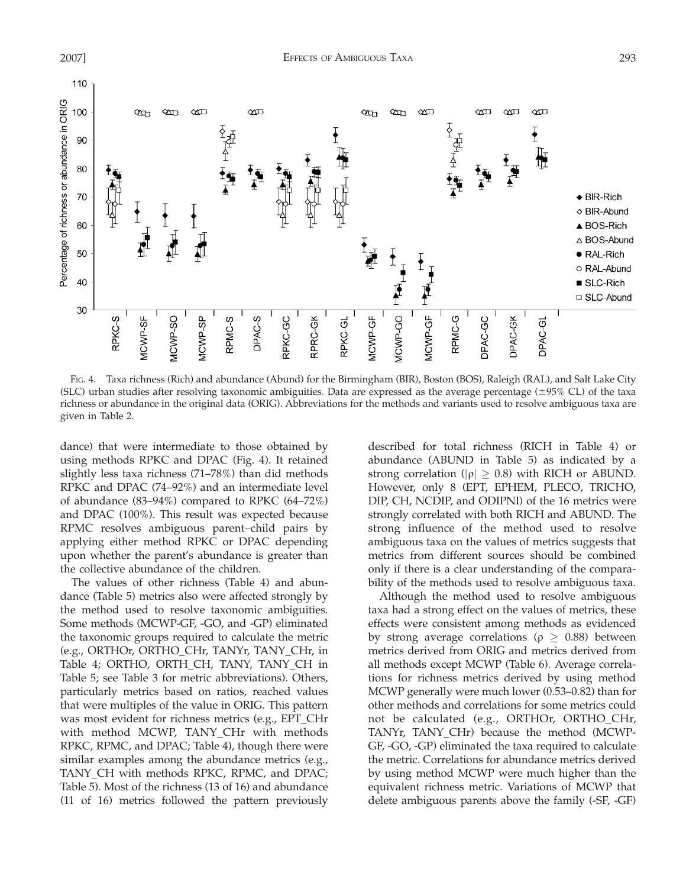

FIG. 4. Taxa richness (Rich) and abundance (Abund) for the Birmingham (BIR), Boston (BOS), Raleigh (RAL), and Salt Lake City (SLC) urban studies after resolving taxonomic ambiguities. Data are expressed as the average percentage ( $\pm$ 95% CL) of the taxa richness or abundance in the original data (ORIG). Abbreviations for the methods and variants used to resolve ambiguous taxa are given in Table 2.

dance) that were intermediate to those obtained by using methods RPKC and DPAC (Fig. 4). It retained slightly less taxa richness (71–78%) than did methods RPKC and DPAC (74–92%) and an intermediate level of abundance (83–94%) compared to RPKC (64–72%) and DPAC (100%). This result was expected because RPMC resolves ambiguous parent–child pairs by applying either method RPKC or DPAC depending upon whether the parent's abundance is greater than the collective abundance of the children.

The values of other richness (Table 4) and abundance (Table 5) metrics also were affected strongly by the method used to resolve taxonomic ambiguities. Some methods (MCWP-GF, -GO, and -GP) eliminated the taxonomic groups required to calculate the metric (e.g., ORTHOr, ORTHO\_CHr, TANYr, TANY\_CHr, in Table 4; ORTHO, ORTH\_CH, TANY, TANY\_CH in Table 5; see Table 3 for metric abbreviations). Others, particularly metrics based on ratios, reached values that were multiples of the value in ORIG. This pattern was most evident for richness metrics (e.g., EPT\_CHr with method MCWP, TANY\_CHr with methods RPKC, RPMC, and DPAC; Table 4), though there were similar examples among the abundance metrics (e.g., TANY\_CH with methods RPKC, RPMC, and DPAC; Table 5). Most of the richness (13 of 16) and abundance (11 of 16) metrics followed the pattern previously described for total richness (RICH in Table 4) or abundance (ABUND in Table 5) as indicated by a strong correlation ( $|\rho| \ge 0.8$ ) with RICH or ABUND. However, only 8 (EPT, EPHEM, PLECO, TRICHO, DIP, CH, NCDIP, and ODIPNI) of the 16 metrics were strongly correlated with both RICH and ABUND. The strong influence of the method used to resolve ambiguous taxa on the values of metrics suggests that metrics from different sources should be combined only if there is a clear understanding of the comparability of the methods used to resolve ambiguous taxa.

Although the method used to resolve ambiguous taxa had a strong effect on the values of metrics, these effects were consistent among methods as evidenced by strong average correlations ( $\rho \geq 0.88$ ) between metrics derived from ORIG and metrics derived from all methods except MCWP (Table 6). Average correlations for richness metrics derived by using method MCWP generally were much lower (0.53–0.82) than for other methods and correlations for some metrics could not be calculated (e.g., ORTHOr, ORTHO\_CHr, TANYr, TANY\_CHr) because the method (MCWP-GF, -GO, -GP) eliminated the taxa required to calculate the metric. Correlations for abundance metrics derived by using method MCWP were much higher than the equivalent richness metric. Variations of MCWP that delete ambiguous parents above the family (-SF, -GF)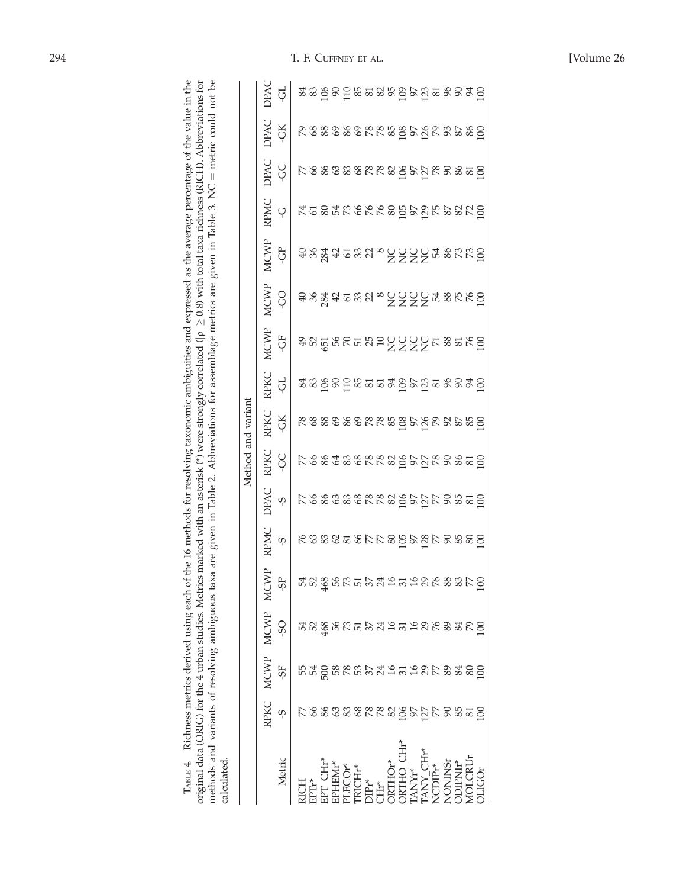|                                                              |  |   |                                        |                      | Method and varian                     |                                         |                                                         |               |                                              |                 |                     |                                       |     |   |
|--------------------------------------------------------------|--|---|----------------------------------------|----------------------|---------------------------------------|-----------------------------------------|---------------------------------------------------------|---------------|----------------------------------------------|-----------------|---------------------|---------------------------------------|-----|---|
| MCWP<br>MCWP<br>RPKC                                         |  |   | RPM                                    | DPAC                 | RPKO                                  | RPKC                                    | ΣΡK                                                     | MCWP          | MCWP                                         | MCWP            | RPMC                | <b>DARC</b>                           | DAC |   |
| 55<br>ပှ                                                     |  | ģ | S                                      | ပှ                   | GC                                    | -GK                                     | Ę                                                       | Ę             | Ş                                            | GP              | Y                   | Ş                                     | -GK | ಧ |
| 55 26 26 25 26 26 26 26 26 26 26 26 26 27<br>556885535588889 |  |   |                                        |                      |                                       |                                         |                                                         |               |                                              |                 |                     |                                       |     |   |
|                                                              |  |   |                                        |                      |                                       |                                         |                                                         |               |                                              |                 |                     |                                       |     |   |
|                                                              |  |   |                                        |                      |                                       |                                         |                                                         |               |                                              |                 |                     |                                       |     |   |
| 58868888895558859                                            |  |   | នេននក្នុនទី <i>ប្</i> និងប្អូនខ្លួន ដឹ | 58888888889555558852 | F 8 % 4 % % % % % % % 5 % 5 % % % 5 % | x 8 8 8 8 8 8 K K 8 g 5 K A K 8 8 8 9 9 | <u> 효</u> ਲ 울 응 음 % প প প প 공 및 양 당 당 정 영 영 영 정 등 당 정 역 | $\frac{1}{2}$ | \$ % X \$ \$ & % X % D Q Q Q Q Z X % % R % Q | $9888958888882$ | RG83RSKK89568R\$8K9 | E 8 % 8 % % % & % % % 5 % 5 % % % 5 % |     |   |
|                                                              |  |   |                                        |                      |                                       |                                         |                                                         |               |                                              |                 |                     |                                       |     |   |
|                                                              |  |   |                                        |                      |                                       |                                         |                                                         |               |                                              |                 |                     |                                       |     |   |
|                                                              |  |   |                                        |                      |                                       |                                         |                                                         |               |                                              |                 |                     |                                       |     |   |
|                                                              |  |   |                                        |                      |                                       |                                         |                                                         |               |                                              |                 |                     |                                       |     |   |
|                                                              |  |   |                                        |                      |                                       |                                         |                                                         |               |                                              |                 |                     |                                       |     |   |
|                                                              |  |   |                                        |                      |                                       |                                         |                                                         |               |                                              |                 |                     |                                       |     |   |
|                                                              |  |   |                                        |                      |                                       |                                         |                                                         |               |                                              |                 |                     |                                       |     |   |
|                                                              |  |   |                                        |                      |                                       |                                         |                                                         |               |                                              |                 |                     |                                       |     |   |
|                                                              |  |   |                                        |                      |                                       |                                         |                                                         |               |                                              |                 |                     |                                       |     |   |
|                                                              |  |   |                                        |                      |                                       |                                         |                                                         |               |                                              |                 |                     |                                       |     |   |
|                                                              |  |   |                                        |                      |                                       |                                         |                                                         |               |                                              |                 |                     |                                       |     |   |
|                                                              |  |   |                                        |                      |                                       |                                         |                                                         |               |                                              |                 |                     |                                       |     |   |
|                                                              |  |   |                                        |                      |                                       |                                         |                                                         |               |                                              |                 |                     |                                       |     |   |
|                                                              |  |   |                                        |                      |                                       |                                         |                                                         |               |                                              |                 |                     |                                       |     |   |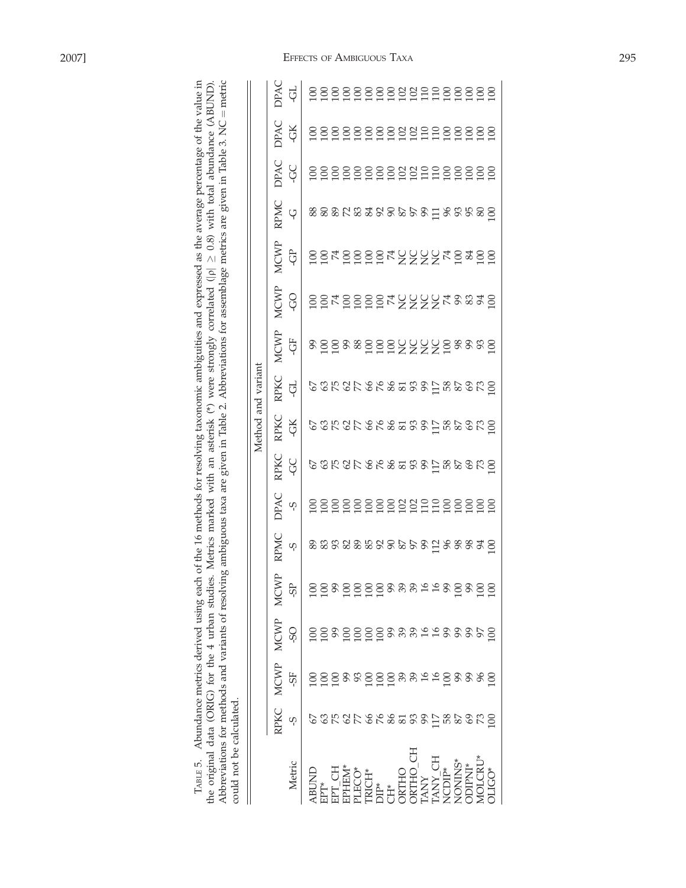|                                                                                                                                                             |                                                                                                                                                               | ing ambiguous taxa are given in Table 2. Abbreviations for assemblage metrics are given in Table 3. $NC =$ metric |  |
|-------------------------------------------------------------------------------------------------------------------------------------------------------------|---------------------------------------------------------------------------------------------------------------------------------------------------------------|-------------------------------------------------------------------------------------------------------------------|--|
|                                                                                                                                                             |                                                                                                                                                               |                                                                                                                   |  |
|                                                                                                                                                             |                                                                                                                                                               |                                                                                                                   |  |
|                                                                                                                                                             |                                                                                                                                                               |                                                                                                                   |  |
|                                                                                                                                                             |                                                                                                                                                               |                                                                                                                   |  |
|                                                                                                                                                             |                                                                                                                                                               |                                                                                                                   |  |
|                                                                                                                                                             |                                                                                                                                                               |                                                                                                                   |  |
|                                                                                                                                                             |                                                                                                                                                               |                                                                                                                   |  |
|                                                                                                                                                             |                                                                                                                                                               |                                                                                                                   |  |
|                                                                                                                                                             |                                                                                                                                                               |                                                                                                                   |  |
|                                                                                                                                                             |                                                                                                                                                               |                                                                                                                   |  |
|                                                                                                                                                             |                                                                                                                                                               |                                                                                                                   |  |
|                                                                                                                                                             |                                                                                                                                                               |                                                                                                                   |  |
|                                                                                                                                                             |                                                                                                                                                               |                                                                                                                   |  |
|                                                                                                                                                             |                                                                                                                                                               |                                                                                                                   |  |
|                                                                                                                                                             |                                                                                                                                                               |                                                                                                                   |  |
|                                                                                                                                                             |                                                                                                                                                               |                                                                                                                   |  |
|                                                                                                                                                             |                                                                                                                                                               |                                                                                                                   |  |
|                                                                                                                                                             |                                                                                                                                                               |                                                                                                                   |  |
|                                                                                                                                                             |                                                                                                                                                               |                                                                                                                   |  |
|                                                                                                                                                             |                                                                                                                                                               |                                                                                                                   |  |
|                                                                                                                                                             |                                                                                                                                                               |                                                                                                                   |  |
|                                                                                                                                                             |                                                                                                                                                               |                                                                                                                   |  |
| TABLE 5. Abundance metrics derived using each of the 16 methods for resolving taxonomic ambiguities and expressed as the average percentage of the value in |                                                                                                                                                               |                                                                                                                   |  |
|                                                                                                                                                             |                                                                                                                                                               |                                                                                                                   |  |
|                                                                                                                                                             | the original data (ORIG) for the 4 urban studies. Metrics marked with an asterisk (*) were strongly correlated ( p  $\geq$ 0.8) with total abundance (ABUND). | Abbreviations for methods and variants of resolvi<br>could not be calculated.                                     |  |

|                    | <b>NACC</b> | Ę                       |       |               |    | 8888888888888888                                                               |  |  |  |               |                   |         |  |
|--------------------|-------------|-------------------------|-------|---------------|----|--------------------------------------------------------------------------------|--|--|--|---------------|-------------------|---------|--|
|                    | <b>DPAC</b> | ĞK                      |       |               |    | 8888888888888888                                                               |  |  |  |               |                   |         |  |
|                    | DPAC        | ပ္ပ                     |       |               |    | 8888888888888888                                                               |  |  |  |               |                   |         |  |
|                    | RPMC        | Ģ                       |       |               |    | $2888888338888585$                                                             |  |  |  |               |                   |         |  |
|                    | MCWP        | $\overline{\mathrm{G}}$ |       |               |    | SSKSSSSKYSSSKS#SS                                                              |  |  |  |               |                   |         |  |
|                    | MCWP        | င္ပ                     |       |               |    | SSKSSSSKYSSSKS & SS                                                            |  |  |  |               |                   |         |  |
|                    | <b>MCWP</b> | Ğ                       |       |               |    | 88888888222288888                                                              |  |  |  |               |                   |         |  |
| Method and variant | RPKC        | Ģ                       |       |               |    | 6858588888588858                                                               |  |  |  |               |                   |         |  |
|                    | RPKC        | ĞK                      |       |               |    | CCKGKSKSZSSPESSCKS                                                             |  |  |  |               |                   |         |  |
|                    | RPKC        | Ğ                       |       |               |    | $$3688358835882882$                                                            |  |  |  |               |                   |         |  |
|                    | <b>DARC</b> | ပှ                      |       |               |    | 88888888888888888                                                              |  |  |  |               |                   |         |  |
|                    | RPMC        | ပှ                      |       |               |    |                                                                                |  |  |  |               |                   |         |  |
|                    | ۳           |                         |       | $rac{8}{100}$ | 99 |                                                                                |  |  |  |               |                   |         |  |
|                    | <b>MCWP</b> | Ş                       |       |               |    |                                                                                |  |  |  |               |                   |         |  |
|                    | <b>MCWP</b> | 55                      |       |               |    | dderedderen stadere                                                            |  |  |  |               |                   |         |  |
|                    |             |                         |       |               |    | $608888888288288889$                                                           |  |  |  |               |                   |         |  |
|                    |             | Metric                  | INDRI |               |    | HT CH<br>HERY<br>HERCH<br>NECH<br>NECH<br>NECH<br>NECH<br>NECH<br>NECH<br>NECH |  |  |  | <b>ANY_CF</b> | NCDIP*<br>NONINS* | *DIPNIP |  |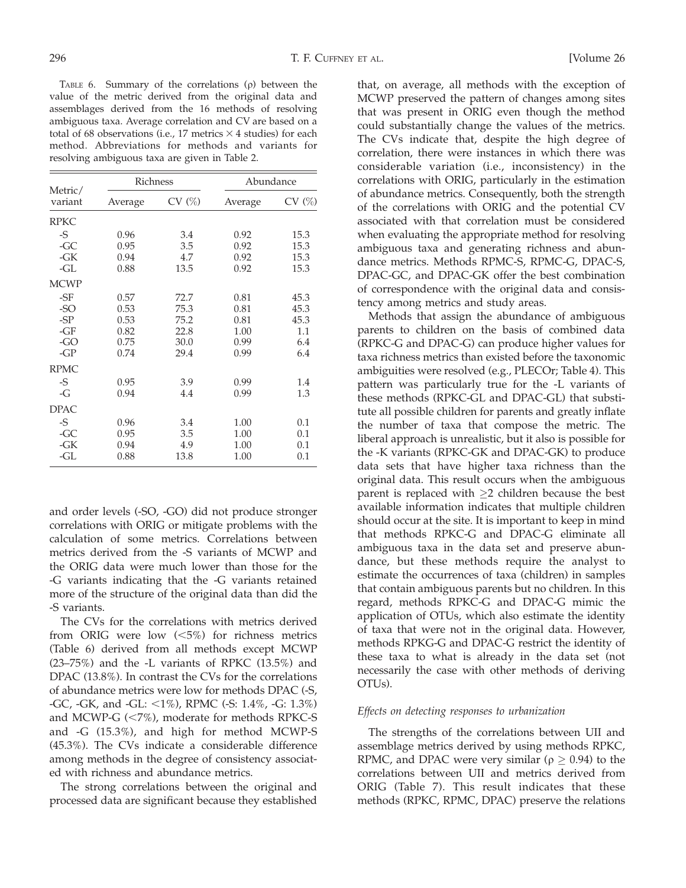TABLE 6. Summary of the correlations  $(\rho)$  between the value of the metric derived from the original data and assemblages derived from the 16 methods of resolving ambiguous taxa. Average correlation and CV are based on a total of 68 observations (i.e., 17 metrics  $\times$  4 studies) for each method. Abbreviations for methods and variants for resolving ambiguous taxa are given in Table 2.

|                    | Richness |       | Abundance |       |
|--------------------|----------|-------|-----------|-------|
| Metric/<br>variant | Average  | CV(%) | Average   | CV(%) |
| <b>RPKC</b>        |          |       |           |       |
| -S                 | 0.96     | 3.4   | 0.92      | 15.3  |
| $-GC$              | 0.95     | 3.5   | 0.92      | 15.3  |
| $-GK$              | 0.94     | 4.7   | 0.92      | 15.3  |
| -GL                | 0.88     | 13.5  | 0.92      | 15.3  |
| <b>MCWP</b>        |          |       |           |       |
| $-SF$              | 0.57     | 72.7  | 0.81      | 45.3  |
| $-SO$              | 0.53     | 75.3  | 0.81      | 45.3  |
| $-SP$              | 0.53     | 75.2  | 0.81      | 45.3  |
| $-GF$              | 0.82     | 22.8  | 1.00      | 1.1   |
| $-GO$              | 0.75     | 30.0  | 0.99      | 6.4   |
| $-GP$              | 0.74     | 29.4  | 0.99      | 6.4   |
| <b>RPMC</b>        |          |       |           |       |
| -S                 | 0.95     | 3.9   | 0.99      | 1.4   |
| $-G$               | 0.94     | 4.4   | 0.99      | 1.3   |
| <b>DPAC</b>        |          |       |           |       |
| $-S$               | 0.96     | 3.4   | 1.00      | 0.1   |
| $-GC$              | 0.95     | 3.5   | 1.00      | 0.1   |
| $-GK$              | 0.94     | 4.9   | 1.00      | 0.1   |
| -GL                | 0.88     | 13.8  | 1.00      | 0.1   |

and order levels (-SO, -GO) did not produce stronger correlations with ORIG or mitigate problems with the calculation of some metrics. Correlations between metrics derived from the -S variants of MCWP and the ORIG data were much lower than those for the -G variants indicating that the -G variants retained more of the structure of the original data than did the -S variants.

The CVs for the correlations with metrics derived from ORIG were low  $(<5%)$  for richness metrics (Table 6) derived from all methods except MCWP (23–75%) and the -L variants of RPKC (13.5%) and DPAC (13.8%). In contrast the CVs for the correlations of abundance metrics were low for methods DPAC (-S, -GC, -GK, and -GL: <1%), RPMC (-S: 1.4%, -G: 1.3%) and MCWP-G  $(< 7\%)$ , moderate for methods RPKC-S and -G (15.3%), and high for method MCWP-S (45.3%). The CVs indicate a considerable difference among methods in the degree of consistency associated with richness and abundance metrics.

The strong correlations between the original and processed data are significant because they established

that, on average, all methods with the exception of MCWP preserved the pattern of changes among sites that was present in ORIG even though the method could substantially change the values of the metrics. The CVs indicate that, despite the high degree of correlation, there were instances in which there was considerable variation (i.e., inconsistency) in the correlations with ORIG, particularly in the estimation of abundance metrics. Consequently, both the strength of the correlations with ORIG and the potential CV associated with that correlation must be considered when evaluating the appropriate method for resolving ambiguous taxa and generating richness and abundance metrics. Methods RPMC-S, RPMC-G, DPAC-S, DPAC-GC, and DPAC-GK offer the best combination of correspondence with the original data and consistency among metrics and study areas.

Methods that assign the abundance of ambiguous parents to children on the basis of combined data (RPKC-G and DPAC-G) can produce higher values for taxa richness metrics than existed before the taxonomic ambiguities were resolved (e.g., PLECOr; Table 4). This pattern was particularly true for the -L variants of these methods (RPKC-GL and DPAC-GL) that substitute all possible children for parents and greatly inflate the number of taxa that compose the metric. The liberal approach is unrealistic, but it also is possible for the -K variants (RPKC-GK and DPAC-GK) to produce data sets that have higher taxa richness than the original data. This result occurs when the ambiguous parent is replaced with  $\geq 2$  children because the best available information indicates that multiple children should occur at the site. It is important to keep in mind that methods RPKC-G and DPAC-G eliminate all ambiguous taxa in the data set and preserve abundance, but these methods require the analyst to estimate the occurrences of taxa (children) in samples that contain ambiguous parents but no children. In this regard, methods RPKC-G and DPAC-G mimic the application of OTUs, which also estimate the identity of taxa that were not in the original data. However, methods RPKG-G and DPAC-G restrict the identity of these taxa to what is already in the data set (not necessarily the case with other methods of deriving OTUs).

#### Effects on detecting responses to urbanization

The strengths of the correlations between UII and assemblage metrics derived by using methods RPKC, RPMC, and DPAC were very similar ( $\rho > 0.94$ ) to the correlations between UII and metrics derived from ORIG (Table 7). This result indicates that these methods (RPKC, RPMC, DPAC) preserve the relations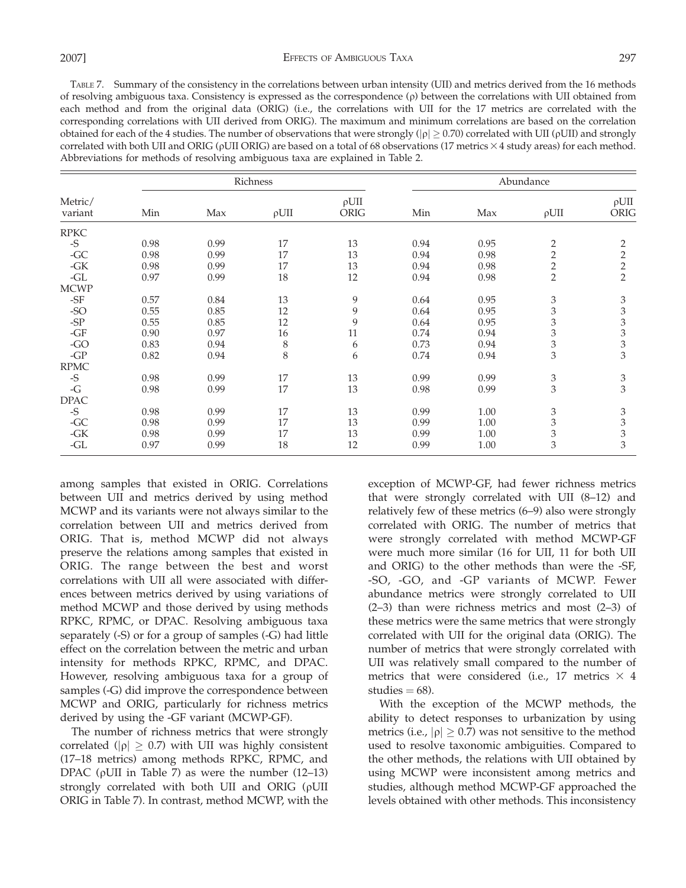TABLE 7. Summary of the consistency in the correlations between urban intensity (UII) and metrics derived from the 16 methods of resolving ambiguous taxa. Consistency is expressed as the correspondence  $(\rho)$  between the correlations with UII obtained from each method and from the original data (ORIG) (i.e., the correlations with UII for the 17 metrics are correlated with the corresponding correlations with UII derived from ORIG). The maximum and minimum correlations are based on the correlation obtained for each of the 4 studies. The number of observations that were strongly ( $|\rho| \ge 0.70$ ) correlated with UII ( $\rho$ UII) and strongly correlated with both UII and ORIG ( $\rho$ UII ORIG) are based on a total of 68 observations (17 metrics  $\times$  4 study areas) for each method. Abbreviations for methods of resolving ambiguous taxa are explained in Table 2.

|                    |      |      | Richness   |                    |      |      | Abundance                   |                    |
|--------------------|------|------|------------|--------------------|------|------|-----------------------------|--------------------|
| Metric/<br>variant | Min  | Max  | $\rho$ UII | $\rho$ UII<br>ORIG | Min  | Max  | $\rho$ UII                  | $\rho$ UII<br>ORIG |
| <b>RPKC</b>        |      |      |            |                    |      |      |                             |                    |
| $-S$               | 0.98 | 0.99 | 17         | 13                 | 0.94 | 0.95 | $\overline{\mathbf{c}}$     | 2                  |
| $-GC$              | 0.98 | 0.99 | 17         | 13                 | 0.94 | 0.98 | $\overline{c}$              | $\overline{2}$     |
| -GK                | 0.98 | 0.99 | 17         | 13                 | 0.94 | 0.98 | $\frac{2}{2}$               | $\overline{2}$     |
| $-GL$              | 0.97 | 0.99 | 18         | 12                 | 0.94 | 0.98 |                             | $\overline{2}$     |
| <b>MCWP</b>        |      |      |            |                    |      |      |                             |                    |
| $-SF$              | 0.57 | 0.84 | 13         | $\overline{9}$     | 0.64 | 0.95 | $\ensuremath{\mathfrak{Z}}$ | 3                  |
| $-SO$              | 0.55 | 0.85 | 12         | $\overline{9}$     | 0.64 | 0.95 | 3                           | 3                  |
| -SP $\,$           | 0.55 | 0.85 | 12         | 9                  | 0.64 | 0.95 | 3                           | $\,3$              |
| $-GF$              | 0.90 | 0.97 | 16         | 11                 | 0.74 | 0.94 | $\mathfrak{Z}$              | 3                  |
| $-GO$              | 0.83 | 0.94 | 8          | 6                  | 0.73 | 0.94 |                             | 3                  |
| $-GP$              | 0.82 | 0.94 | 8          | 6                  | 0.74 | 0.94 | $\frac{3}{3}$               | $\overline{3}$     |
| <b>RPMC</b>        |      |      |            |                    |      |      |                             |                    |
| -S                 | 0.98 | 0.99 | 17         | 13                 | 0.99 | 0.99 | 3                           | 3                  |
| -G                 | 0.98 | 0.99 | 17         | 13                 | 0.98 | 0.99 | $\overline{3}$              | 3                  |
| D <sub>PAC</sub>   |      |      |            |                    |      |      |                             |                    |
| $-S$               | 0.98 | 0.99 | 17         | 13                 | 0.99 | 1.00 | 3                           | 3                  |
| -GC                | 0.98 | 0.99 | 17         | 13                 | 0.99 | 1.00 | 3                           | $\,3$              |
| $-GK$              | 0.98 | 0.99 | 17         | 13                 | 0.99 | 1.00 | 3                           | $\,3$              |
| $-GL$              | 0.97 | 0.99 | 18         | 12                 | 0.99 | 1.00 | 3                           | 3                  |

among samples that existed in ORIG. Correlations between UII and metrics derived by using method MCWP and its variants were not always similar to the correlation between UII and metrics derived from ORIG. That is, method MCWP did not always preserve the relations among samples that existed in ORIG. The range between the best and worst correlations with UII all were associated with differences between metrics derived by using variations of method MCWP and those derived by using methods RPKC, RPMC, or DPAC. Resolving ambiguous taxa separately (-S) or for a group of samples (-G) had little effect on the correlation between the metric and urban intensity for methods RPKC, RPMC, and DPAC. However, resolving ambiguous taxa for a group of samples (-G) did improve the correspondence between MCWP and ORIG, particularly for richness metrics derived by using the -GF variant (MCWP-GF).

The number of richness metrics that were strongly correlated ( $|\rho| \geq 0.7$ ) with UII was highly consistent (17–18 metrics) among methods RPKC, RPMC, and DPAC ( $\rho$ UII in Table 7) as were the number (12–13) strongly correlated with both UII and ORIG (pUII ORIG in Table 7). In contrast, method MCWP, with the exception of MCWP-GF, had fewer richness metrics that were strongly correlated with UII (8–12) and relatively few of these metrics (6–9) also were strongly correlated with ORIG. The number of metrics that were strongly correlated with method MCWP-GF were much more similar (16 for UII, 11 for both UII and ORIG) to the other methods than were the -SF, -SO, -GO, and -GP variants of MCWP. Fewer abundance metrics were strongly correlated to UII (2–3) than were richness metrics and most (2–3) of these metrics were the same metrics that were strongly correlated with UII for the original data (ORIG). The number of metrics that were strongly correlated with UII was relatively small compared to the number of metrics that were considered (i.e., 17 metrics  $\times$  4 studies  $= 68$ ).

With the exception of the MCWP methods, the ability to detect responses to urbanization by using metrics (i.e.,  $|\rho| \geq 0.7$ ) was not sensitive to the method used to resolve taxonomic ambiguities. Compared to the other methods, the relations with UII obtained by using MCWP were inconsistent among metrics and studies, although method MCWP-GF approached the levels obtained with other methods. This inconsistency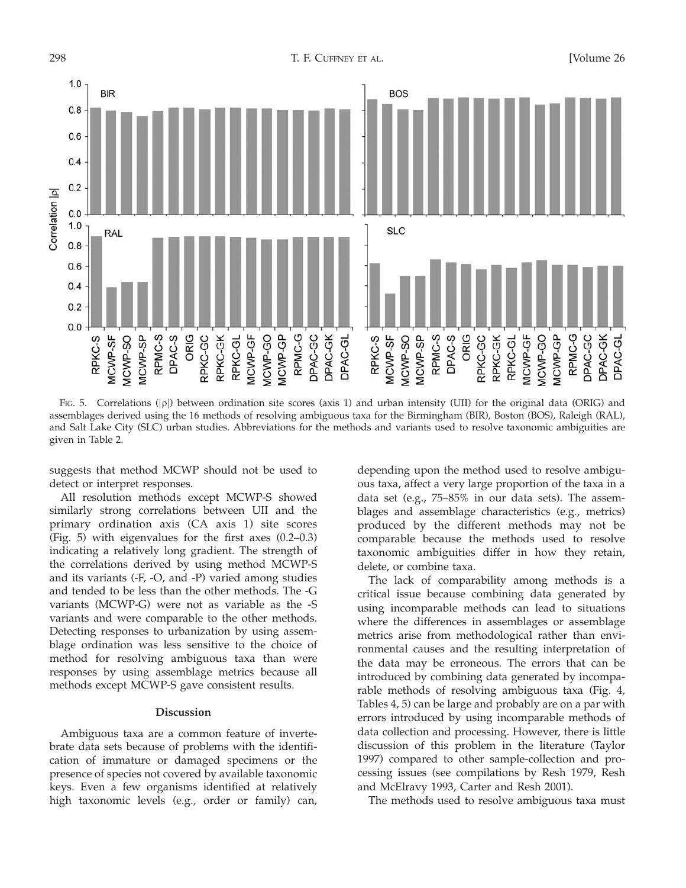

FIG. 5. Correlations ( $|\rho|$ ) between ordination site scores (axis 1) and urban intensity (UII) for the original data (ORIG) and assemblages derived using the 16 methods of resolving ambiguous taxa for the Birmingham (BIR), Boston (BOS), Raleigh (RAL), and Salt Lake City (SLC) urban studies. Abbreviations for the methods and variants used to resolve taxonomic ambiguities are given in Table 2.

suggests that method MCWP should not be used to detect or interpret responses.

All resolution methods except MCWP-S showed similarly strong correlations between UII and the primary ordination axis (CA axis 1) site scores (Fig. 5) with eigenvalues for the first axes (0.2–0.3) indicating a relatively long gradient. The strength of the correlations derived by using method MCWP-S and its variants (-F, -O, and -P) varied among studies and tended to be less than the other methods. The -G variants (MCWP-G) were not as variable as the -S variants and were comparable to the other methods. Detecting responses to urbanization by using assemblage ordination was less sensitive to the choice of method for resolving ambiguous taxa than were responses by using assemblage metrics because all methods except MCWP-S gave consistent results.

#### Discussion

Ambiguous taxa are a common feature of invertebrate data sets because of problems with the identification of immature or damaged specimens or the presence of species not covered by available taxonomic keys. Even a few organisms identified at relatively high taxonomic levels (e.g., order or family) can,

depending upon the method used to resolve ambiguous taxa, affect a very large proportion of the taxa in a data set (e.g., 75–85% in our data sets). The assemblages and assemblage characteristics (e.g., metrics) produced by the different methods may not be comparable because the methods used to resolve taxonomic ambiguities differ in how they retain, delete, or combine taxa.

The lack of comparability among methods is a critical issue because combining data generated by using incomparable methods can lead to situations where the differences in assemblages or assemblage metrics arise from methodological rather than environmental causes and the resulting interpretation of the data may be erroneous. The errors that can be introduced by combining data generated by incomparable methods of resolving ambiguous taxa (Fig. 4, Tables 4, 5) can be large and probably are on a par with errors introduced by using incomparable methods of data collection and processing. However, there is little discussion of this problem in the literature (Taylor 1997) compared to other sample-collection and processing issues (see compilations by Resh 1979, Resh and McElravy 1993, Carter and Resh 2001).

The methods used to resolve ambiguous taxa must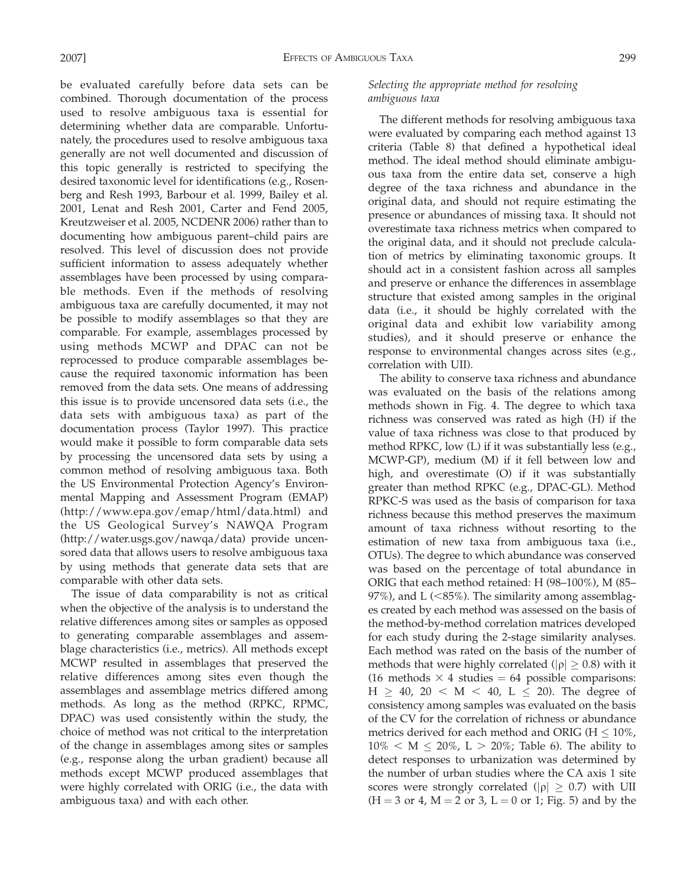be evaluated carefully before data sets can be combined. Thorough documentation of the process used to resolve ambiguous taxa is essential for determining whether data are comparable. Unfortunately, the procedures used to resolve ambiguous taxa generally are not well documented and discussion of this topic generally is restricted to specifying the desired taxonomic level for identifications (e.g., Rosenberg and Resh 1993, Barbour et al. 1999, Bailey et al. 2001, Lenat and Resh 2001, Carter and Fend 2005, Kreutzweiser et al. 2005, NCDENR 2006) rather than to documenting how ambiguous parent–child pairs are resolved. This level of discussion does not provide sufficient information to assess adequately whether assemblages have been processed by using comparable methods. Even if the methods of resolving ambiguous taxa are carefully documented, it may not be possible to modify assemblages so that they are comparable. For example, assemblages processed by using methods MCWP and DPAC can not be reprocessed to produce comparable assemblages because the required taxonomic information has been removed from the data sets. One means of addressing this issue is to provide uncensored data sets (i.e., the data sets with ambiguous taxa) as part of the documentation process (Taylor 1997). This practice would make it possible to form comparable data sets by processing the uncensored data sets by using a common method of resolving ambiguous taxa. Both the US Environmental Protection Agency's Environmental Mapping and Assessment Program (EMAP) (http://www.epa.gov/emap/html/data.html) and the US Geological Survey's NAWQA Program (http://water.usgs.gov/nawqa/data) provide uncensored data that allows users to resolve ambiguous taxa by using methods that generate data sets that are comparable with other data sets.

The issue of data comparability is not as critical when the objective of the analysis is to understand the relative differences among sites or samples as opposed to generating comparable assemblages and assemblage characteristics (i.e., metrics). All methods except MCWP resulted in assemblages that preserved the relative differences among sites even though the assemblages and assemblage metrics differed among methods. As long as the method (RPKC, RPMC, DPAC) was used consistently within the study, the choice of method was not critical to the interpretation of the change in assemblages among sites or samples (e.g., response along the urban gradient) because all methods except MCWP produced assemblages that were highly correlated with ORIG (i.e., the data with ambiguous taxa) and with each other.

# Selecting the appropriate method for resolving ambiguous taxa

The different methods for resolving ambiguous taxa were evaluated by comparing each method against 13 criteria (Table 8) that defined a hypothetical ideal method. The ideal method should eliminate ambiguous taxa from the entire data set, conserve a high degree of the taxa richness and abundance in the original data, and should not require estimating the presence or abundances of missing taxa. It should not overestimate taxa richness metrics when compared to the original data, and it should not preclude calculation of metrics by eliminating taxonomic groups. It should act in a consistent fashion across all samples and preserve or enhance the differences in assemblage structure that existed among samples in the original data (i.e., it should be highly correlated with the original data and exhibit low variability among studies), and it should preserve or enhance the response to environmental changes across sites (e.g., correlation with UII).

The ability to conserve taxa richness and abundance was evaluated on the basis of the relations among methods shown in Fig. 4. The degree to which taxa richness was conserved was rated as high (H) if the value of taxa richness was close to that produced by method RPKC, low (L) if it was substantially less (e.g., MCWP-GP), medium (M) if it fell between low and high, and overestimate (O) if it was substantially greater than method RPKC (e.g., DPAC-GL). Method RPKC-S was used as the basis of comparison for taxa richness because this method preserves the maximum amount of taxa richness without resorting to the estimation of new taxa from ambiguous taxa (i.e., OTUs). The degree to which abundance was conserved was based on the percentage of total abundance in ORIG that each method retained: H (98–100%), M (85– 97%), and  $L \leq 85\%$ ). The similarity among assemblages created by each method was assessed on the basis of the method-by-method correlation matrices developed for each study during the 2-stage similarity analyses. Each method was rated on the basis of the number of methods that were highly correlated ( $|\rho| \ge 0.8$ ) with it (16 methods  $\times$  4 studies = 64 possible comparisons:  $\text{H} \geq 40$ , 20  $\text{< M} \leq 40$ , L  $\leq$  20). The degree of consistency among samples was evaluated on the basis of the CV for the correlation of richness or abundance metrics derived for each method and ORIG (H  $\leq$  10%,  $10\% < M \le 20\%$ , L  $> 20\%$ ; Table 6). The ability to detect responses to urbanization was determined by the number of urban studies where the CA axis 1 site scores were strongly correlated ( $|\rho| \geq 0.7$ ) with UII  $(H = 3 \text{ or } 4, M = 2 \text{ or } 3, L = 0 \text{ or } 1$ ; Fig. 5) and by the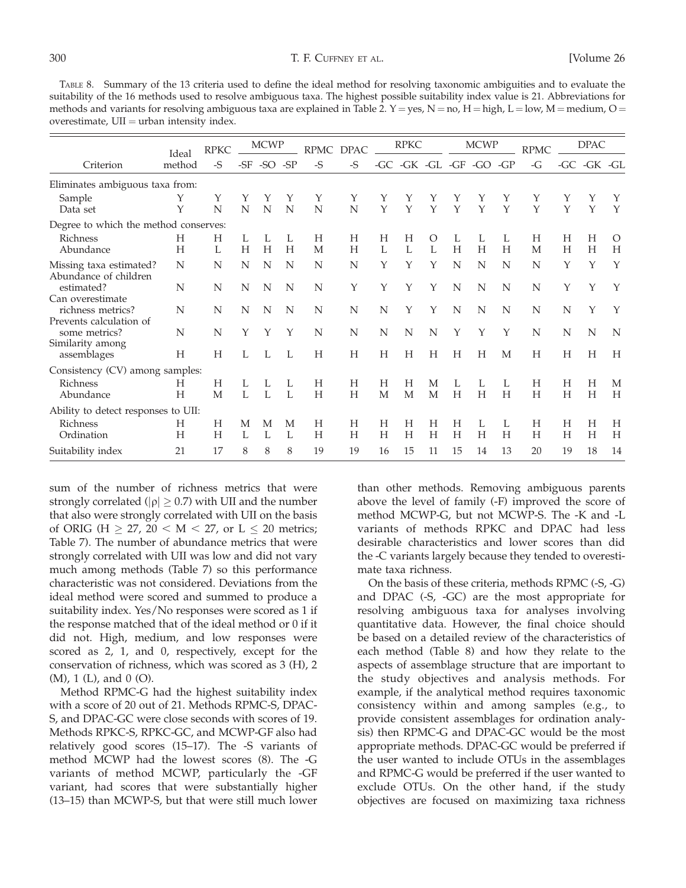TABLE 8. Summary of the 13 criteria used to define the ideal method for resolving taxonomic ambiguities and to evaluate the suitability of the 16 methods used to resolve ambiguous taxa. The highest possible suitability index value is 21. Abbreviations for methods and variants for resolving ambiguous taxa are explained in Table 2.  $Y = yes$ ,  $N = no$ ,  $H = high$ ,  $L = low$ ,  $M = medium$ ,  $O =$ overestimate,  $UII =$  urban intensity index.

|                                                                  |                 | <b>RPKC</b> |        | <b>MCWP</b> |                   | RPMC   | <b>DPAC</b>      |             | <b>RPKC</b>     |              |        | <b>MCWP</b> |        | <b>RPMC</b> |        | <b>DPAC</b> |        |
|------------------------------------------------------------------|-----------------|-------------|--------|-------------|-------------------|--------|------------------|-------------|-----------------|--------------|--------|-------------|--------|-------------|--------|-------------|--------|
| Criterion                                                        | Ideal<br>method | $-S$        | -SF    | -SO         | $-SP$             | $-S$   | -S               |             | -GC -GK -GL -GF |              |        | -GO         | $-GP$  | $-G$        |        | -GC -GK -GL |        |
| Eliminates ambiguous taxa from:                                  |                 |             |        |             |                   |        |                  |             |                 |              |        |             |        |             |        |             |        |
| Sample<br>Data set                                               | Υ               | Y<br>N      | Y<br>N | Υ<br>N      | Υ<br>N            | Υ<br>N | Υ<br>$\mathbb N$ | Y<br>Υ      | Υ<br>Y          | Υ<br>Y       | Y<br>Υ | Υ<br>Y      | Υ<br>Y | Υ<br>Y      | Υ<br>Y | Υ<br>Υ      | Y<br>Y |
| Degree to which the method conserves:                            |                 |             |        |             |                   |        |                  |             |                 |              |        |             |        |             |        |             |        |
| <b>Richness</b><br>Abundance                                     | Н<br>H          | Н<br>L      | H      | L<br>H      | H                 | Н<br>M | Н<br>H           | Н           | H<br>L          | $\circ$<br>L | H      | H           | H      | H<br>M      | H<br>H | Н<br>H      | O<br>H |
| Missing taxa estimated?<br>Abundance of children                 | N               | N           | N      | N           | N                 | N      | N                | Y           | Υ               | Y            | N      | N           | N      | N           | Υ      | Υ           | Y      |
| estimated?                                                       | N               | N           | N      | N           | N                 | N      | Y                | Υ           | Υ               | Υ            | N      | N           | N      | N           | Y      | Y           | Y      |
| Can overestimate<br>richness metrics?<br>Prevents calculation of | N               | N           | N      | N           | N                 | N      | N                | N           | Υ               | Υ            | N      | N           | N      | N           | N      | Υ           | Y      |
| some metrics?<br>Similarity among                                | N               | N           | Y      | Υ           | Υ                 | N      | N                | $\mathbb N$ | N               | N            | Υ      | Υ           | Y      | N           | N      | N           | N      |
| assemblages                                                      | Н               | H           | L      | L           | L                 | H      | H                | H           | H               | Н            | Н      | Н           | M      | Н           | H      | H           | Н      |
| Consistency (CV) among samples:                                  |                 |             |        |             |                   |        |                  |             |                 |              |        |             |        |             |        |             |        |
| Richness<br>Abundance                                            | Н<br>H          | H<br>M      | L      | L           | L<br>$\mathbf{L}$ | H<br>H | Н<br>H           | Н<br>M      | H<br>M          | М<br>M       | H      | L<br>H      | L<br>H | Н<br>H      | Н<br>H | H<br>H      | M<br>H |
| Ability to detect responses to UII:                              |                 |             |        |             |                   |        |                  |             |                 |              |        |             |        |             |        |             |        |
| Richness<br>Ordination                                           | Н<br>Н          | H<br>H      | М<br>L | M<br>L      | М<br>L            | H<br>H | Н<br>Н           | H<br>H      | H<br>H          | Н<br>H       | H<br>H | H           | L<br>H | H<br>H      | H<br>Н | H<br>H      | H<br>H |
| Suitability index                                                | 21              | 17          | 8      | 8           | 8                 | 19     | 19               | 16          | 15              | 11           | 15     | 14          | 13     | 20          | 19     | 18          | 14     |

sum of the number of richness metrics that were strongly correlated ( $|\rho| \ge 0.7$ ) with UII and the number that also were strongly correlated with UII on the basis of ORIG (H  $\geq$  27, 20  $<$  M  $<$  27, or L  $\leq$  20 metrics; Table 7). The number of abundance metrics that were strongly correlated with UII was low and did not vary much among methods (Table 7) so this performance characteristic was not considered. Deviations from the ideal method were scored and summed to produce a suitability index. Yes/No responses were scored as 1 if the response matched that of the ideal method or 0 if it did not. High, medium, and low responses were scored as 2, 1, and 0, respectively, except for the conservation of richness, which was scored as 3 (H), 2 (M), 1 (L), and 0 (O).

Method RPMC-G had the highest suitability index with a score of 20 out of 21. Methods RPMC-S, DPAC-S, and DPAC-GC were close seconds with scores of 19. Methods RPKC-S, RPKC-GC, and MCWP-GF also had relatively good scores (15–17). The -S variants of method MCWP had the lowest scores (8). The -G variants of method MCWP, particularly the -GF variant, had scores that were substantially higher (13–15) than MCWP-S, but that were still much lower

than other methods. Removing ambiguous parents above the level of family (-F) improved the score of method MCWP-G, but not MCWP-S. The -K and -L variants of methods RPKC and DPAC had less desirable characteristics and lower scores than did the -C variants largely because they tended to overestimate taxa richness.

On the basis of these criteria, methods RPMC (-S, -G) and DPAC (-S, -GC) are the most appropriate for resolving ambiguous taxa for analyses involving quantitative data. However, the final choice should be based on a detailed review of the characteristics of each method (Table 8) and how they relate to the aspects of assemblage structure that are important to the study objectives and analysis methods. For example, if the analytical method requires taxonomic consistency within and among samples (e.g., to provide consistent assemblages for ordination analysis) then RPMC-G and DPAC-GC would be the most appropriate methods. DPAC-GC would be preferred if the user wanted to include OTUs in the assemblages and RPMC-G would be preferred if the user wanted to exclude OTUs. On the other hand, if the study objectives are focused on maximizing taxa richness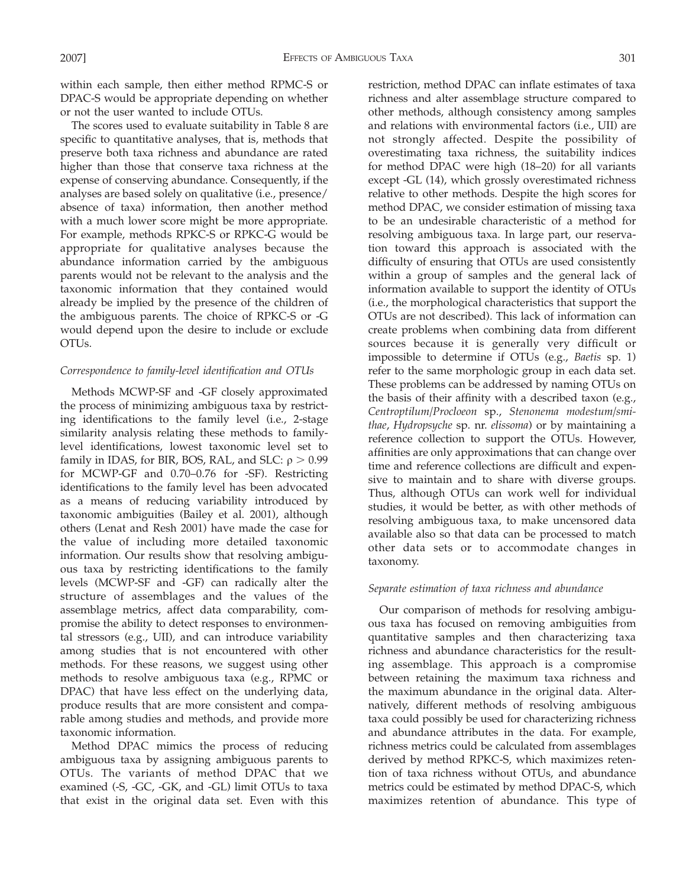within each sample, then either method RPMC-S or DPAC-S would be appropriate depending on whether or not the user wanted to include OTUs.

The scores used to evaluate suitability in Table 8 are specific to quantitative analyses, that is, methods that preserve both taxa richness and abundance are rated higher than those that conserve taxa richness at the expense of conserving abundance. Consequently, if the analyses are based solely on qualitative (i.e., presence/ absence of taxa) information, then another method with a much lower score might be more appropriate. For example, methods RPKC-S or RPKC-G would be appropriate for qualitative analyses because the abundance information carried by the ambiguous parents would not be relevant to the analysis and the taxonomic information that they contained would already be implied by the presence of the children of the ambiguous parents. The choice of RPKC-S or -G would depend upon the desire to include or exclude OTUs.

## Correspondence to family-level identification and OTUs

Methods MCWP-SF and -GF closely approximated the process of minimizing ambiguous taxa by restricting identifications to the family level (i.e., 2-stage similarity analysis relating these methods to familylevel identifications, lowest taxonomic level set to family in IDAS, for BIR, BOS, RAL, and SLC:  $\rho > 0.99$ for MCWP-GF and 0.70–0.76 for -SF). Restricting identifications to the family level has been advocated as a means of reducing variability introduced by taxonomic ambiguities (Bailey et al. 2001), although others (Lenat and Resh 2001) have made the case for the value of including more detailed taxonomic information. Our results show that resolving ambiguous taxa by restricting identifications to the family levels (MCWP-SF and -GF) can radically alter the structure of assemblages and the values of the assemblage metrics, affect data comparability, compromise the ability to detect responses to environmental stressors (e.g., UII), and can introduce variability among studies that is not encountered with other methods. For these reasons, we suggest using other methods to resolve ambiguous taxa (e.g., RPMC or DPAC) that have less effect on the underlying data, produce results that are more consistent and comparable among studies and methods, and provide more taxonomic information.

Method DPAC mimics the process of reducing ambiguous taxa by assigning ambiguous parents to OTUs. The variants of method DPAC that we examined (-S, -GC, -GK, and -GL) limit OTUs to taxa that exist in the original data set. Even with this restriction, method DPAC can inflate estimates of taxa richness and alter assemblage structure compared to other methods, although consistency among samples and relations with environmental factors (i.e., UII) are not strongly affected. Despite the possibility of overestimating taxa richness, the suitability indices for method DPAC were high (18–20) for all variants except -GL (14), which grossly overestimated richness relative to other methods. Despite the high scores for method DPAC, we consider estimation of missing taxa to be an undesirable characteristic of a method for resolving ambiguous taxa. In large part, our reservation toward this approach is associated with the difficulty of ensuring that OTUs are used consistently within a group of samples and the general lack of information available to support the identity of OTUs (i.e., the morphological characteristics that support the OTUs are not described). This lack of information can create problems when combining data from different sources because it is generally very difficult or impossible to determine if OTUs (e.g., Baetis sp. 1) refer to the same morphologic group in each data set. These problems can be addressed by naming OTUs on the basis of their affinity with a described taxon (e.g., Centroptilum/Procloeon sp., Stenonema modestum/smithae, Hydropsyche sp. nr. elissoma) or by maintaining a reference collection to support the OTUs. However, affinities are only approximations that can change over time and reference collections are difficult and expensive to maintain and to share with diverse groups. Thus, although OTUs can work well for individual studies, it would be better, as with other methods of resolving ambiguous taxa, to make uncensored data available also so that data can be processed to match other data sets or to accommodate changes in taxonomy.

## Separate estimation of taxa richness and abundance

Our comparison of methods for resolving ambiguous taxa has focused on removing ambiguities from quantitative samples and then characterizing taxa richness and abundance characteristics for the resulting assemblage. This approach is a compromise between retaining the maximum taxa richness and the maximum abundance in the original data. Alternatively, different methods of resolving ambiguous taxa could possibly be used for characterizing richness and abundance attributes in the data. For example, richness metrics could be calculated from assemblages derived by method RPKC-S, which maximizes retention of taxa richness without OTUs, and abundance metrics could be estimated by method DPAC-S, which maximizes retention of abundance. This type of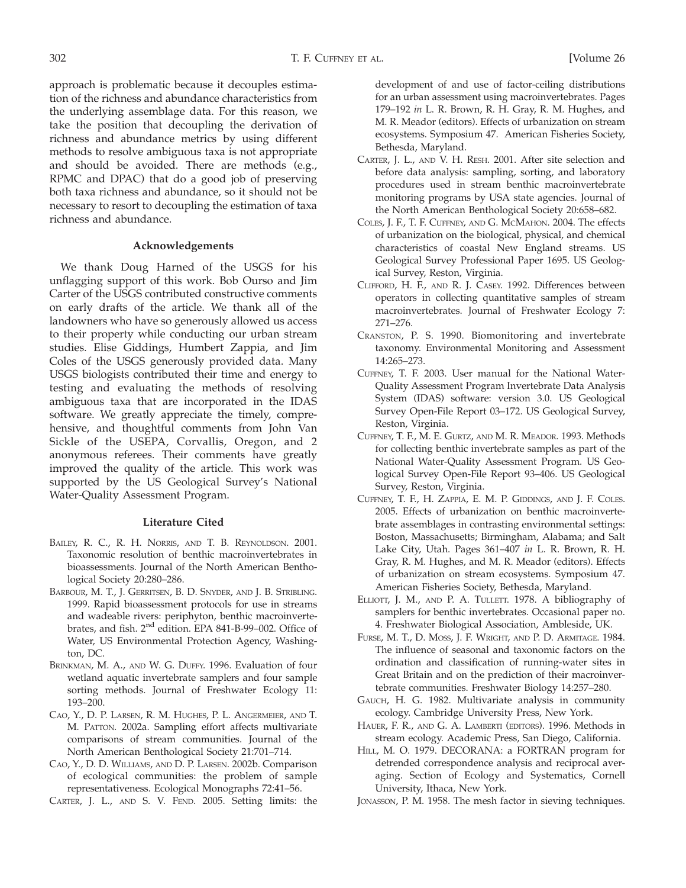approach is problematic because it decouples estimation of the richness and abundance characteristics from the underlying assemblage data. For this reason, we take the position that decoupling the derivation of richness and abundance metrics by using different methods to resolve ambiguous taxa is not appropriate and should be avoided. There are methods (e.g., RPMC and DPAC) that do a good job of preserving both taxa richness and abundance, so it should not be necessary to resort to decoupling the estimation of taxa richness and abundance.

## Acknowledgements

We thank Doug Harned of the USGS for his unflagging support of this work. Bob Ourso and Jim Carter of the USGS contributed constructive comments on early drafts of the article. We thank all of the landowners who have so generously allowed us access to their property while conducting our urban stream studies. Elise Giddings, Humbert Zappia, and Jim Coles of the USGS generously provided data. Many USGS biologists contributed their time and energy to testing and evaluating the methods of resolving ambiguous taxa that are incorporated in the IDAS software. We greatly appreciate the timely, comprehensive, and thoughtful comments from John Van Sickle of the USEPA, Corvallis, Oregon, and 2 anonymous referees. Their comments have greatly improved the quality of the article. This work was supported by the US Geological Survey's National Water-Quality Assessment Program.

#### Literature Cited

- BAILEY, R. C., R. H. NORRIS, AND T. B. REYNOLDSON. 2001. Taxonomic resolution of benthic macroinvertebrates in bioassessments. Journal of the North American Benthological Society 20:280–286.
- BARBOUR, M. T., J. GERRITSEN, B. D. SNYDER, AND J. B. STRIBLING. 1999. Rapid bioassessment protocols for use in streams and wadeable rivers: periphyton, benthic macroinvertebrates, and fish. 2nd edition. EPA 841-B-99–002. Office of Water, US Environmental Protection Agency, Washington, DC.
- BRINKMAN, M. A., AND W. G. DUFFY. 1996. Evaluation of four wetland aquatic invertebrate samplers and four sample sorting methods. Journal of Freshwater Ecology 11: 193–200.
- CAO, Y., D. P. LARSEN, R. M. HUGHES, P. L. ANGERMEIER, AND T. M. PATTON. 2002a. Sampling effort affects multivariate comparisons of stream communities. Journal of the North American Benthological Society 21:701–714.
- CAO, Y., D. D. WILLIAMS, AND D. P. LARSEN. 2002b. Comparison of ecological communities: the problem of sample representativeness. Ecological Monographs 72:41–56.

CARTER, J. L., AND S. V. FEND. 2005. Setting limits: the

development of and use of factor-ceiling distributions for an urban assessment using macroinvertebrates. Pages 179–192 in L. R. Brown, R. H. Gray, R. M. Hughes, and M. R. Meador (editors). Effects of urbanization on stream ecosystems. Symposium 47. American Fisheries Society, Bethesda, Maryland.

- CARTER, J. L., AND V. H. RESH. 2001. After site selection and before data analysis: sampling, sorting, and laboratory procedures used in stream benthic macroinvertebrate monitoring programs by USA state agencies. Journal of the North American Benthological Society 20:658–682.
- COLES, J. F., T. F. CUFFNEY, AND G. MCMAHON. 2004. The effects of urbanization on the biological, physical, and chemical characteristics of coastal New England streams. US Geological Survey Professional Paper 1695. US Geological Survey, Reston, Virginia.
- CLIFFORD, H. F., AND R. J. CASEY. 1992. Differences between operators in collecting quantitative samples of stream macroinvertebrates. Journal of Freshwater Ecology 7: 271–276.
- CRANSTON, P. S. 1990. Biomonitoring and invertebrate taxonomy. Environmental Monitoring and Assessment 14:265–273.
- CUFFNEY, T. F. 2003. User manual for the National Water-Quality Assessment Program Invertebrate Data Analysis System (IDAS) software: version 3.0. US Geological Survey Open-File Report 03–172. US Geological Survey, Reston, Virginia.
- CUFFNEY, T. F., M. E. GURTZ, AND M. R. MEADOR. 1993. Methods for collecting benthic invertebrate samples as part of the National Water-Quality Assessment Program. US Geological Survey Open-File Report 93–406. US Geological Survey, Reston, Virginia.
- CUFFNEY, T. F., H. ZAPPIA, E. M. P. GIDDINGS, AND J. F. COLES. 2005. Effects of urbanization on benthic macroinvertebrate assemblages in contrasting environmental settings: Boston, Massachusetts; Birmingham, Alabama; and Salt Lake City, Utah. Pages 361–407 in L. R. Brown, R. H. Gray, R. M. Hughes, and M. R. Meador (editors). Effects of urbanization on stream ecosystems. Symposium 47. American Fisheries Society, Bethesda, Maryland.
- ELLIOTT, J. M., AND P. A. TULLETT. 1978. A bibliography of samplers for benthic invertebrates. Occasional paper no. 4. Freshwater Biological Association, Ambleside, UK.
- FURSE, M. T., D. MOSS, J. F. WRIGHT, AND P. D. ARMITAGE. 1984. The influence of seasonal and taxonomic factors on the ordination and classification of running-water sites in Great Britain and on the prediction of their macroinvertebrate communities. Freshwater Biology 14:257–280.
- GAUCH, H. G. 1982. Multivariate analysis in community ecology. Cambridge University Press, New York.
- HAUER, F. R., AND G. A. LAMBERTI (EDITORS). 1996. Methods in stream ecology. Academic Press, San Diego, California.
- HILL, M. O. 1979. DECORANA: a FORTRAN program for detrended correspondence analysis and reciprocal averaging. Section of Ecology and Systematics, Cornell University, Ithaca, New York.
- JONASSON, P. M. 1958. The mesh factor in sieving techniques.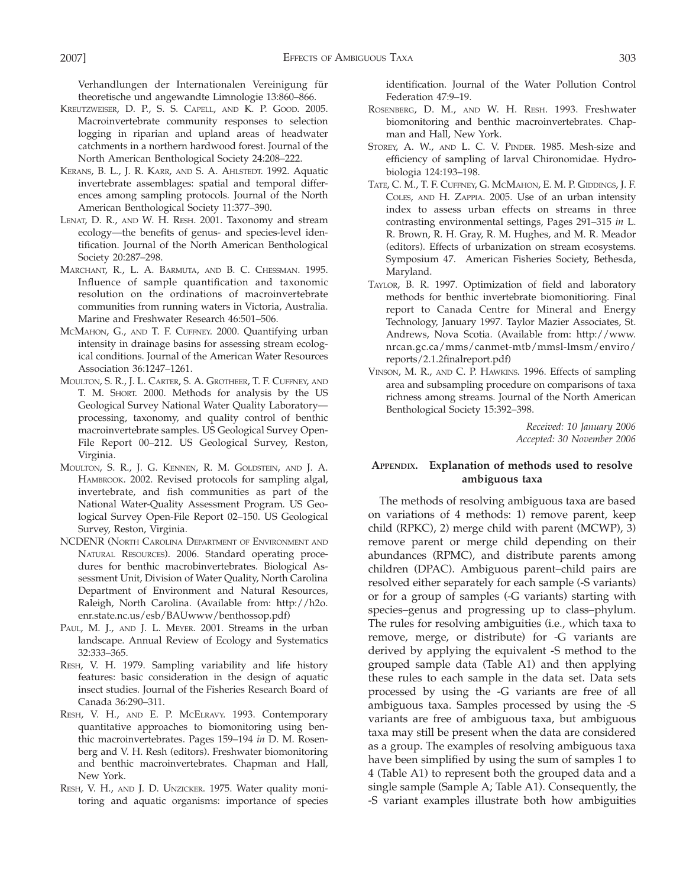Verhandlungen der Internationalen Vereinigung für theoretische und angewandte Limnologie 13:860–866.

- KREUTZWEISER, D. P., S. S. CAPELL, AND K. P. GOOD. 2005. Macroinvertebrate community responses to selection logging in riparian and upland areas of headwater catchments in a northern hardwood forest. Journal of the North American Benthological Society 24:208–222.
- KERANS, B. L., J. R. KARR, AND S. A. AHLSTEDT. 1992. Aquatic invertebrate assemblages: spatial and temporal differences among sampling protocols. Journal of the North American Benthological Society 11:377–390.
- LENAT, D. R., AND W. H. RESH. 2001. Taxonomy and stream ecology—the benefits of genus- and species-level identification. Journal of the North American Benthological Society 20:287–298.
- MARCHANT, R., L. A. BARMUTA, AND B. C. CHESSMAN. 1995. Influence of sample quantification and taxonomic resolution on the ordinations of macroinvertebrate communities from running waters in Victoria, Australia. Marine and Freshwater Research 46:501–506.
- MCMAHON, G., AND T. F. CUFFNEY. 2000. Quantifying urban intensity in drainage basins for assessing stream ecological conditions. Journal of the American Water Resources Association 36:1247–1261.
- MOULTON, S. R., J. L. CARTER, S. A. GROTHEER, T. F. CUFFNEY, AND T. M. SHORT. 2000. Methods for analysis by the US Geological Survey National Water Quality Laboratory processing, taxonomy, and quality control of benthic macroinvertebrate samples. US Geological Survey Open-File Report 00–212. US Geological Survey, Reston, Virginia.
- MOULTON, S. R., J. G. KENNEN, R. M. GOLDSTEIN, AND J. A. HAMBROOK. 2002. Revised protocols for sampling algal, invertebrate, and fish communities as part of the National Water-Quality Assessment Program. US Geological Survey Open-File Report 02–150. US Geological Survey, Reston, Virginia.
- NCDENR (NORTH CAROLINA DEPARTMENT OF ENVIRONMENT AND NATURAL RESOURCES). 2006. Standard operating procedures for benthic macrobinvertebrates. Biological Assessment Unit, Division of Water Quality, North Carolina Department of Environment and Natural Resources, Raleigh, North Carolina. (Available from: http://h2o. enr.state.nc.us/esb/BAUwww/benthossop.pdf)
- PAUL, M. J., AND J. L. MEYER. 2001. Streams in the urban landscape. Annual Review of Ecology and Systematics 32:333–365.
- RESH, V. H. 1979. Sampling variability and life history features: basic consideration in the design of aquatic insect studies. Journal of the Fisheries Research Board of Canada 36:290–311.
- RESH, V. H., AND E. P. MCELRAVY. 1993. Contemporary quantitative approaches to biomonitoring using benthic macroinvertebrates. Pages 159–194 in D. M. Rosenberg and V. H. Resh (editors). Freshwater biomonitoring and benthic macroinvertebrates. Chapman and Hall, New York.
- RESH, V. H., AND J. D. UNZICKER. 1975. Water quality monitoring and aquatic organisms: importance of species

identification. Journal of the Water Pollution Control Federation 47:9–19.

- ROSENBERG, D. M., AND W. H. RESH. 1993. Freshwater biomonitoring and benthic macroinvertebrates. Chapman and Hall, New York.
- STOREY, A. W., AND L. C. V. PINDER. 1985. Mesh-size and efficiency of sampling of larval Chironomidae. Hydrobiologia 124:193–198.
- TATE, C. M., T. F. CUFFNEY, G. MCMAHON, E. M. P. GIDDINGS, J. F. COLES, AND H. ZAPPIA. 2005. Use of an urban intensity index to assess urban effects on streams in three contrasting environmental settings, Pages 291–315 in L. R. Brown, R. H. Gray, R. M. Hughes, and M. R. Meador (editors). Effects of urbanization on stream ecosystems. Symposium 47. American Fisheries Society, Bethesda, Maryland.
- TAYLOR, B. R. 1997. Optimization of field and laboratory methods for benthic invertebrate biomonitioring. Final report to Canada Centre for Mineral and Energy Technology, January 1997. Taylor Mazier Associates, St. Andrews, Nova Scotia. (Available from: http://www. nrcan.gc.ca/mms/canmet-mtb/mmsl-lmsm/enviro/ reports/2.1.2finalreport.pdf)
- VINSON, M. R., AND C. P. HAWKINS. 1996. Effects of sampling area and subsampling procedure on comparisons of taxa richness among streams. Journal of the North American Benthological Society 15:392–398.

Received: 10 January 2006 Accepted: 30 November 2006

# APPENDIX. Explanation of methods used to resolve ambiguous taxa

The methods of resolving ambiguous taxa are based on variations of 4 methods: 1) remove parent, keep child (RPKC), 2) merge child with parent (MCWP), 3) remove parent or merge child depending on their abundances (RPMC), and distribute parents among children (DPAC). Ambiguous parent–child pairs are resolved either separately for each sample (-S variants) or for a group of samples (-G variants) starting with species–genus and progressing up to class–phylum. The rules for resolving ambiguities (i.e., which taxa to remove, merge, or distribute) for -G variants are derived by applying the equivalent -S method to the grouped sample data (Table A1) and then applying these rules to each sample in the data set. Data sets processed by using the -G variants are free of all ambiguous taxa. Samples processed by using the -S variants are free of ambiguous taxa, but ambiguous taxa may still be present when the data are considered as a group. The examples of resolving ambiguous taxa have been simplified by using the sum of samples 1 to 4 (Table A1) to represent both the grouped data and a single sample (Sample A; Table A1). Consequently, the -S variant examples illustrate both how ambiguities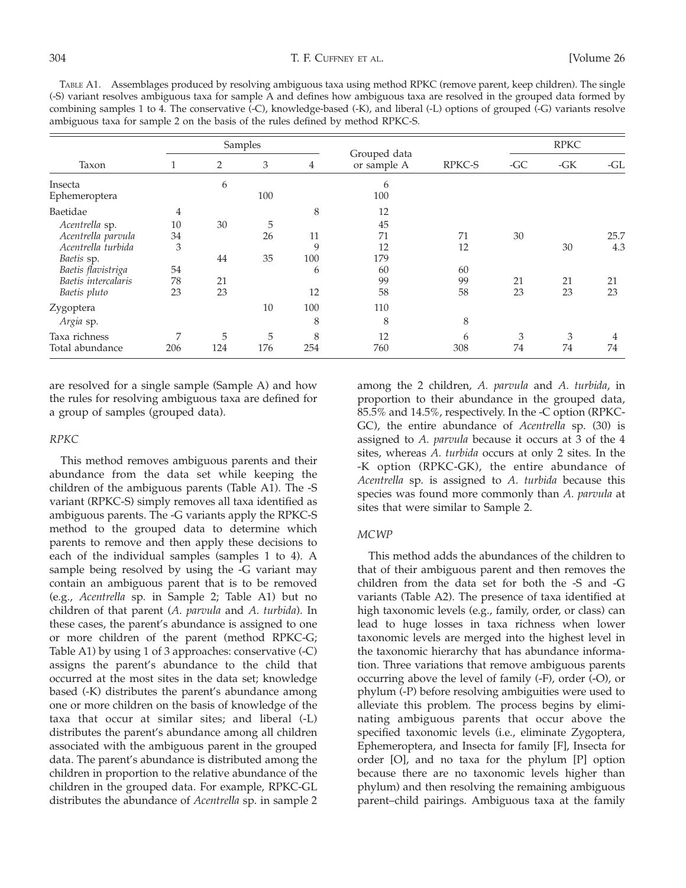TABLE A1. Assemblages produced by resolving ambiguous taxa using method RPKC (remove parent, keep children). The single (-S) variant resolves ambiguous taxa for sample A and defines how ambiguous taxa are resolved in the grouped data formed by combining samples 1 to 4. The conservative (-C), knowledge-based (-K), and liberal (-L) options of grouped (-G) variants resolve ambiguous taxa for sample 2 on the basis of the rules defined by method RPKC-S.

|                                                                                                                                       |                                 |                      | Samples       |                           |                                         |                            |                | <b>RPKC</b>    |                         |
|---------------------------------------------------------------------------------------------------------------------------------------|---------------------------------|----------------------|---------------|---------------------------|-----------------------------------------|----------------------------|----------------|----------------|-------------------------|
| Taxon                                                                                                                                 |                                 | 2                    | 3             | 4                         | Grouped data<br>or sample A             | RPKC-S                     | $-GC$          | $-GK$          | -GL                     |
| Insecta<br>Ephemeroptera                                                                                                              |                                 | 6                    | 100           |                           | 6<br>100                                |                            |                |                |                         |
| Baetidae                                                                                                                              | 4                               |                      |               | 8                         | 12                                      |                            |                |                |                         |
| Acentrella sp.<br>Acentrella parvula<br>Acentrella turbida<br>Baetis sp.<br>Baetis flavistriga<br>Baetis intercalaris<br>Baetis pluto | 10<br>34<br>3<br>54<br>78<br>23 | 30<br>44<br>21<br>23 | 5<br>26<br>35 | 11<br>9<br>100<br>6<br>12 | 45<br>71<br>12<br>179<br>60<br>99<br>58 | 71<br>12<br>60<br>99<br>58 | 30<br>21<br>23 | 30<br>21<br>23 | 25.7<br>4.3<br>21<br>23 |
| Zygoptera<br>Argia sp.                                                                                                                |                                 |                      | 10            | 100<br>8                  | 110<br>8                                | 8                          |                |                |                         |
| Taxa richness<br>Total abundance                                                                                                      | $\overline{7}$<br>206           | 5<br>124             | 5<br>176      | 8<br>254                  | 12<br>760                               | 6<br>308                   | 3<br>74        | 3<br>74        | 4<br>74                 |

are resolved for a single sample (Sample A) and how the rules for resolving ambiguous taxa are defined for a group of samples (grouped data).

## RPKC

This method removes ambiguous parents and their abundance from the data set while keeping the children of the ambiguous parents (Table A1). The -S variant (RPKC-S) simply removes all taxa identified as ambiguous parents. The -G variants apply the RPKC-S method to the grouped data to determine which parents to remove and then apply these decisions to each of the individual samples (samples 1 to 4). A sample being resolved by using the -G variant may contain an ambiguous parent that is to be removed (e.g., Acentrella sp. in Sample 2; Table A1) but no children of that parent (A. parvula and A. turbida). In these cases, the parent's abundance is assigned to one or more children of the parent (method RPKC-G; Table A1) by using 1 of 3 approaches: conservative (-C) assigns the parent's abundance to the child that occurred at the most sites in the data set; knowledge based (-K) distributes the parent's abundance among one or more children on the basis of knowledge of the taxa that occur at similar sites; and liberal (-L) distributes the parent's abundance among all children associated with the ambiguous parent in the grouped data. The parent's abundance is distributed among the children in proportion to the relative abundance of the children in the grouped data. For example, RPKC-GL distributes the abundance of Acentrella sp. in sample 2 among the 2 children, A. parvula and A. turbida, in proportion to their abundance in the grouped data, 85.5% and 14.5%, respectively. In the -C option (RPKC-GC), the entire abundance of Acentrella sp. (30) is assigned to A. parvula because it occurs at 3 of the 4 sites, whereas A. turbida occurs at only 2 sites. In the -K option (RPKC-GK), the entire abundance of Acentrella sp. is assigned to A. turbida because this species was found more commonly than A. parvula at sites that were similar to Sample 2.

## MCWP

This method adds the abundances of the children to that of their ambiguous parent and then removes the children from the data set for both the -S and -G variants (Table A2). The presence of taxa identified at high taxonomic levels (e.g., family, order, or class) can lead to huge losses in taxa richness when lower taxonomic levels are merged into the highest level in the taxonomic hierarchy that has abundance information. Three variations that remove ambiguous parents occurring above the level of family (-F), order (-O), or phylum (-P) before resolving ambiguities were used to alleviate this problem. The process begins by eliminating ambiguous parents that occur above the specified taxonomic levels (i.e., eliminate Zygoptera, Ephemeroptera, and Insecta for family [F], Insecta for order [O], and no taxa for the phylum [P] option because there are no taxonomic levels higher than phylum) and then resolving the remaining ambiguous parent–child pairings. Ambiguous taxa at the family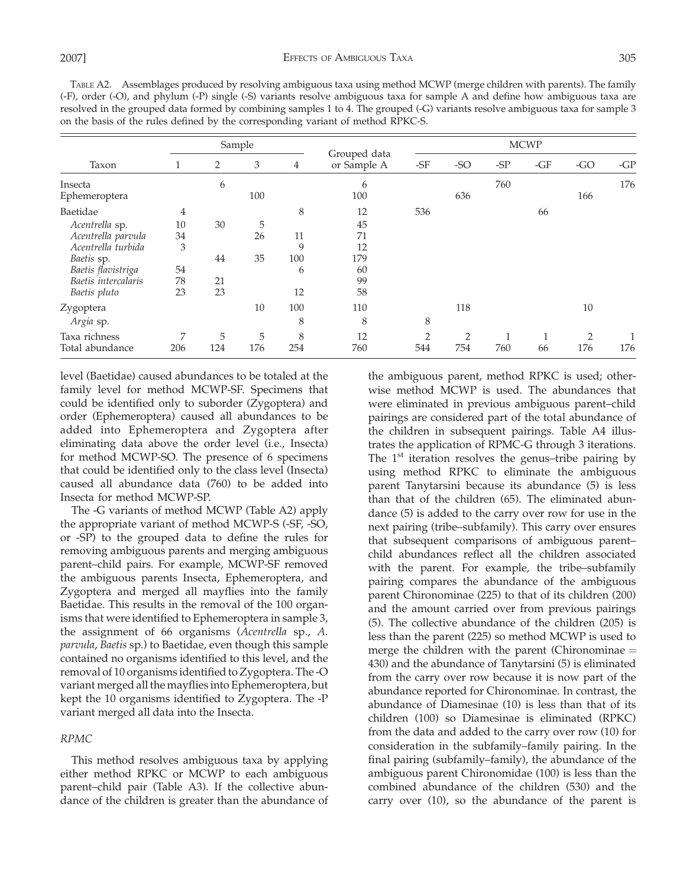TABLE A2. Assemblages produced by resolving ambiguous taxa using method MCWP (merge children with parents). The family (-F), order (-O), and phylum (-P) single (-S) variants resolve ambiguous taxa for sample A and define how ambiguous taxa are resolved in the grouped data formed by combining samples 1 to 4. The grouped (-G) variants resolve ambiguous taxa for sample 3 on the basis of the rules defined by the corresponding variant of method RPKC-S.

|                                                                                                                                       |                                 |                      | Sample        |                           |                                         |                       |          |       | <b>MCWP</b> |                      |       |
|---------------------------------------------------------------------------------------------------------------------------------------|---------------------------------|----------------------|---------------|---------------------------|-----------------------------------------|-----------------------|----------|-------|-------------|----------------------|-------|
| Taxon                                                                                                                                 |                                 | 2                    | 3             | 4                         | Grouped data<br>or Sample A             | $-SF$                 | $-SO$    | $-SP$ | $-GF$       | $-GO$                | $-GP$ |
| Insecta<br>Ephemeroptera                                                                                                              |                                 | 6                    | 100           |                           | 6<br>100                                |                       | 636      | 760   |             | 166                  | 176   |
| Baetidae                                                                                                                              | 4                               |                      |               | 8                         | 12                                      | 536                   |          |       | 66          |                      |       |
| Acentrella sp.<br>Acentrella parvula<br>Acentrella turbida<br>Baetis sp.<br>Baetis flavistriga<br>Baetis intercalaris<br>Baetis pluto | 10<br>34<br>3<br>54<br>78<br>23 | 30<br>44<br>21<br>23 | 5<br>26<br>35 | 11<br>9<br>100<br>6<br>12 | 45<br>71<br>12<br>179<br>60<br>99<br>58 |                       |          |       |             |                      |       |
| Zygoptera<br>Argia sp.                                                                                                                |                                 |                      | 10            | 100<br>8                  | 110<br>8                                | 8                     | 118      |       |             | 10                   |       |
| Taxa richness<br>Total abundance                                                                                                      | 7<br>206                        | 5<br>124             | 5<br>176      | 8<br>254                  | 12<br>760                               | $\overline{2}$<br>544 | 2<br>754 | 760   | 66          | $\mathcal{P}$<br>176 | 176   |

level (Baetidae) caused abundances to be totaled at the family level for method MCWP-SF. Specimens that could be identified only to suborder (Zygoptera) and order (Ephemeroptera) caused all abundances to be added into Ephemeroptera and Zygoptera after eliminating data above the order level (i.e., Insecta) for method MCWP-SO. The presence of 6 specimens that could be identified only to the class level (Insecta) caused all abundance data (760) to be added into Insecta for method MCWP-SP.

The -G variants of method MCWP (Table A2) apply the appropriate variant of method MCWP-S (-SF, -SO, or -SP) to the grouped data to define the rules for removing ambiguous parents and merging ambiguous parent–child pairs. For example, MCWP-SF removed the ambiguous parents Insecta, Ephemeroptera, and Zygoptera and merged all mayflies into the family Baetidae. This results in the removal of the 100 organisms that were identified to Ephemeroptera in sample 3, the assignment of 66 organisms (Acentrella sp., A. parvula, Baetis sp.) to Baetidae, even though this sample contained no organisms identified to this level, and the removal of 10 organisms identified to Zygoptera. The -O variant merged all the mayflies into Ephemeroptera, but kept the 10 organisms identified to Zygoptera. The -P variant merged all data into the Insecta.

## RPMC

This method resolves ambiguous taxa by applying either method RPKC or MCWP to each ambiguous parent–child pair (Table A3). If the collective abundance of the children is greater than the abundance of the ambiguous parent, method RPKC is used; otherwise method MCWP is used. The abundances that were eliminated in previous ambiguous parent–child pairings are considered part of the total abundance of the children in subsequent pairings. Table A4 illustrates the application of RPMC-G through 3 iterations. The  $1<sup>st</sup>$  iteration resolves the genus–tribe pairing by using method RPKC to eliminate the ambiguous parent Tanytarsini because its abundance (5) is less than that of the children (65). The eliminated abundance (5) is added to the carry over row for use in the next pairing (tribe–subfamily). This carry over ensures that subsequent comparisons of ambiguous parent– child abundances reflect all the children associated with the parent. For example, the tribe–subfamily pairing compares the abundance of the ambiguous parent Chironominae (225) to that of its children (200) and the amount carried over from previous pairings (5). The collective abundance of the children (205) is less than the parent (225) so method MCWP is used to merge the children with the parent (Chironominae  $=$ 430) and the abundance of Tanytarsini (5) is eliminated from the carry over row because it is now part of the abundance reported for Chironominae. In contrast, the abundance of Diamesinae (10) is less than that of its children (100) so Diamesinae is eliminated (RPKC) from the data and added to the carry over row (10) for consideration in the subfamily–family pairing. In the final pairing (subfamily–family), the abundance of the ambiguous parent Chironomidae (100) is less than the combined abundance of the children (530) and the carry over (10), so the abundance of the parent is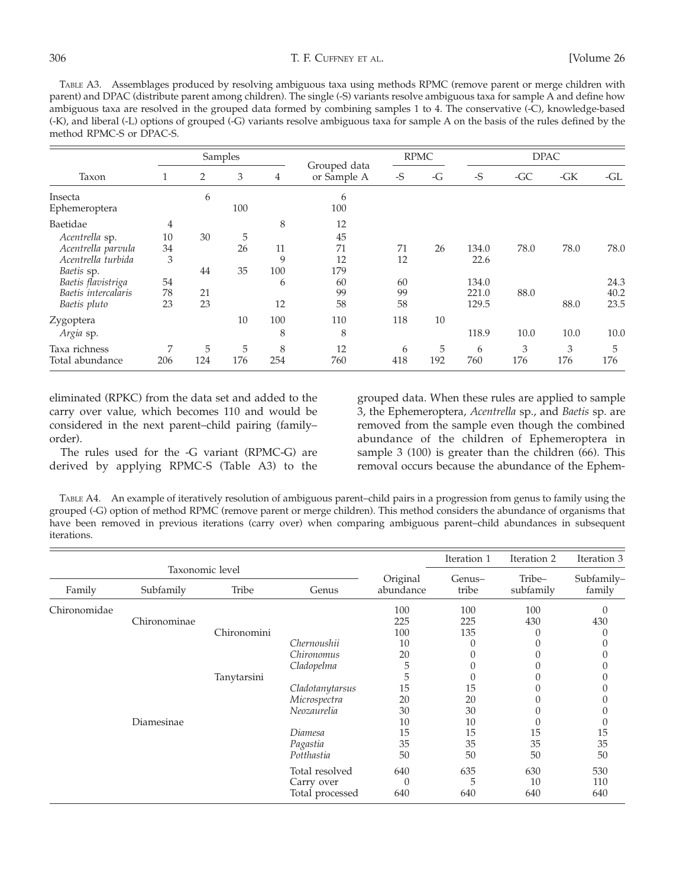TABLE A3. Assemblages produced by resolving ambiguous taxa using methods RPMC (remove parent or merge children with parent) and DPAC (distribute parent among children). The single (-S) variants resolve ambiguous taxa for sample A and define how ambiguous taxa are resolved in the grouped data formed by combining samples 1 to 4. The conservative (-C), knowledge-based (-K), and liberal (-L) options of grouped (-G) variants resolve ambiguous taxa for sample A on the basis of the rules defined by the method RPMC-S or DPAC-S.

|                     | Samples |     |     |     |                             |      | <b>RPMC</b> |       | <b>DPAC</b> |       |      |  |
|---------------------|---------|-----|-----|-----|-----------------------------|------|-------------|-------|-------------|-------|------|--|
| Taxon               |         | 2   | 3   | 4   | Grouped data<br>or Sample A | $-S$ | $-G$        | $-S$  | $-GC$       | $-GK$ | -GL  |  |
| Insecta             |         | 6   |     |     | 6                           |      |             |       |             |       |      |  |
| Ephemeroptera       |         |     | 100 |     | 100                         |      |             |       |             |       |      |  |
| Baetidae            | 4       |     |     | 8   | 12                          |      |             |       |             |       |      |  |
| Acentrella sp.      | 10      | 30  | 5   |     | 45                          |      |             |       |             |       |      |  |
| Acentrella parvula  | 34      |     | 26  | 11  | 71                          | 71   | 26          | 134.0 | 78.0        | 78.0  | 78.0 |  |
| Acentrella turbida  | 3       |     |     | 9   | 12                          | 12   |             | 22.6  |             |       |      |  |
| Baetis sp.          |         | 44  | 35  | 100 | 179                         |      |             |       |             |       |      |  |
| Baetis flavistriga  | 54      |     |     | 6   | 60                          | 60   |             | 134.0 |             |       | 24.3 |  |
| Baetis intercalaris | 78      | 21  |     |     | 99                          | 99   |             | 221.0 | 88.0        |       | 40.2 |  |
| Baetis pluto        | 23      | 23  |     | 12  | 58                          | 58   |             | 129.5 |             | 88.0  | 23.5 |  |
| Zygoptera           |         |     | 10  | 100 | 110                         | 118  | 10          |       |             |       |      |  |
| Argia sp.           |         |     |     | 8   | 8                           |      |             | 118.9 | 10.0        | 10.0  | 10.0 |  |
| Taxa richness       | 7       | 5   | 5   | 8   | 12                          | 6    | 5           | 6     | 3           | 3     | 5    |  |
| Total abundance     | 206     | 124 | 176 | 254 | 760                         | 418  | 192         | 760   | 176         | 176   | 176  |  |

eliminated (RPKC) from the data set and added to the carry over value, which becomes 110 and would be considered in the next parent–child pairing (family– order).

The rules used for the -G variant (RPMC-G) are derived by applying RPMC-S (Table A3) to the grouped data. When these rules are applied to sample 3, the Ephemeroptera, Acentrella sp., and Baetis sp. are removed from the sample even though the combined abundance of the children of Ephemeroptera in sample 3 (100) is greater than the children (66). This removal occurs because the abundance of the Ephem-

TABLE A4. An example of iteratively resolution of ambiguous parent–child pairs in a progression from genus to family using the grouped (-G) option of method RPMC (remove parent or merge children). This method considers the abundance of organisms that have been removed in previous iterations (carry over) when comparing ambiguous parent–child abundances in subsequent iterations.

|              |                 |             |                 |                       | Iteration 1 | Iteration 2 | Iteration 3          |
|--------------|-----------------|-------------|-----------------|-----------------------|-------------|-------------|----------------------|
|              | Taxonomic level |             | Genus-          | Tribe-                |             |             |                      |
| Family       | Subfamily       | Tribe       | Genus           | Original<br>abundance | tribe       | subfamily   | Subfamily-<br>family |
| Chironomidae |                 |             |                 | 100                   | 100         | 100         | 0                    |
|              | Chironominae    |             |                 | 225                   | 225         | 430         | 430                  |
|              |                 | Chironomini |                 | 100                   | 135         |             |                      |
|              |                 |             | Chernoushii     | 10                    |             |             | 0                    |
|              |                 |             | Chironomus      | 20                    |             |             | 0                    |
|              |                 |             | Cladopelma      | 5                     |             |             | 0                    |
|              |                 | Tanytarsini |                 | 5                     |             |             |                      |
|              |                 |             | Cladotanytarsus | 15                    | 15          |             | 0                    |
|              |                 |             | Microspectra    | 20                    | 20          |             | 0                    |
|              |                 |             | Neozaurelia     | 30                    | 30          |             | 0                    |
|              | Diamesinae      |             |                 | 10                    | 10          |             | 0                    |
|              |                 |             | Diamesa         | 15                    | 15          | 15          | 15                   |
|              |                 |             | Pagastia        | 35                    | 35          | 35          | 35                   |
|              |                 |             | Potthastia      | 50                    | 50          | 50          | 50                   |
|              |                 |             | Total resolved  | 640                   | 635         | 630         | 530                  |
|              |                 |             | Carry over      |                       | 5           | 10          | 110                  |
|              |                 |             | Total processed | 640                   | 640         | 640         | 640                  |